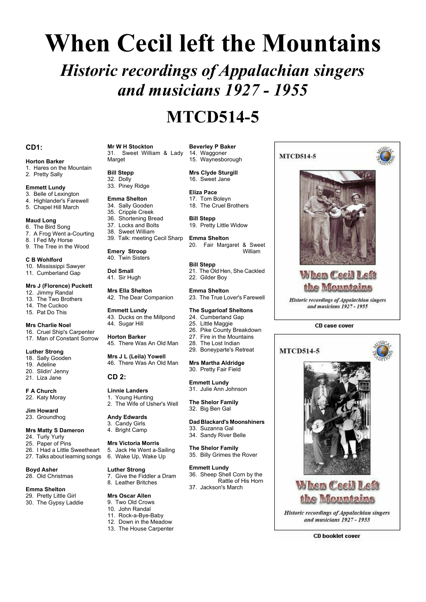# **When Cecil left the Mountains**

*Historic recordings of Appalachian singers and musicians 1927 - 1955*

# **MTCD514-5**

# **CD1:**

# **Horton Barker**

- 1. Hares on the Mountain
- 2. Pretty Sally

# **Emmett Lundy**

- 3. Belle of Lexington
- 4. Highlander's Farewell
- 5. Chapel Hill March

# **Maud Long**

- 6. The Bird Song
- 7. A Frog Went a-Courting
- 8. I Fed My Horse 9. The Tree in the Wood
- 

# **C B Wohlford**

10. Mississippi Sawyer 11. Cumberland Gap

# **Mrs J (Florence) Puckett**

- 12. Jimmy Randal
- 13. The Two Brothers
- 14. The Cuckoo
- 15. Pat Do This

# **Mrs Charlie Noel**

16. Cruel Ship's Carpenter 17. Man of Constant Sorrow

# **Luther Strong**

- 18. Sally Gooden
- 19. Adeline 20. Slidin' Jenny
- 21. Liza Jane

**F A Church** 22. Katy Moray

#### **Jim Howard** 23. Groundhog

# **Mrs Matty S Dameron**

- 24. Turly Yurly
- 25. Paper of Pins
- 26. I Had a Little Sweetheart
- 27. Talks about learning songs

**Boyd Asher** 28. Old Christmas

# **Emma Shelton**

29. Pretty Little Girl 30. The Gypsy Laddie

#### **Mr W H Stockton** 31. Sweet William & Lady

Marget

# **Bill Stepp**

- 32. Dolly
- 33. Piney Ridge
- **Emma Shelton**
- 34. Sally Gooden
- 35. Cripple Creek

# 36. Shortening Bread

- 37. Locks and Bolts
- 38. Sweet William 39. Talk: meeting Cecil Sharp

**Emery Stroop** 40. Twin Sisters

**Dol Small**

41. Sir Hugh

**Mrs Ella Shelton** 42. The Dear Companion

#### **Emmett Lundy** 43. Ducks on the Millpond

44. Sugar Hill

**Horton Barker** 45. There Was An Old Man

**Mrs J L (Leila) Yowell** 46. There Was An Old Man

# **CD 2:**

**Linnie Landers** 1. Young Hunting 2. The Wife of Usher's Well

# **Andy Edwards** 3. Candy Girls

4. Bright Camp

**Luther Strong**

**Mrs Victoria Morris**

# 5. Jack He Went a-Sailing

6. Wake Up, Wake Up

#### **Emmett Lundy** 36. Sheep Shell Corn by the

7. Give the Fiddler a Dram 8. Leather Britches

# **Mrs Oscar Allen**

- 9. Two Old Crows
- 10. John Randal
- 11. Rock-a-Bye-Baby
- 12. Down in the Meadow
- 13. The House Carpenter

# **Beverley P Baker** 14. Waggoner 15. Waynesborough

**MTCD514-5** 

When Cecil Left the Mountains **Historic recordings of Appalachian singers** and musicians 1927 - 1955

CD case cover

**When Ceeil Left** 

the Mountains **Historic recordings of Appalachian singers** and musicians 1927 - 1955

**CD booklet cover** 

**MTCD514-5** 

**Mrs Clyde Sturgill**

16. Sweet Jane

- **Eliza Pace**
	- 17. Tom Boleyn 18. The Cruel Brothers
	-

#### **Bill Stepp** 19. Pretty Little Widow

**Emma Shelton** 20. Fair Margaret & Sweet William

# **Bill Stepp**

21. The Old Hen, She Cackled 22. Gilder Boy

# **Emma Shelton**

23. The True Lover's Farewell

# **The Sugarloaf Sheltons**

- 24. Cumberland Gap
- 25. Little Maggie
- 26. Pike County Breakdown
- 27. Fire in the Mountains<br>28. The Lost Indian The Lost Indian
- 29. Boneyparte's Retreat

# **Mrs Martha Aldridge** 30. Pretty Fair Field

# **Emmett Lundy**

31. Julie Ann Johnson

**The Shelor Family** 32. Big Ben Gal

# **Dad Blackard's Moonshiners**

- 33. Suzanna Gal
- 34. Sandy River Belle

# **The Shelor Family**

37. Jackson's March

35. Billy Grimes the Rover

Rattle of His Horn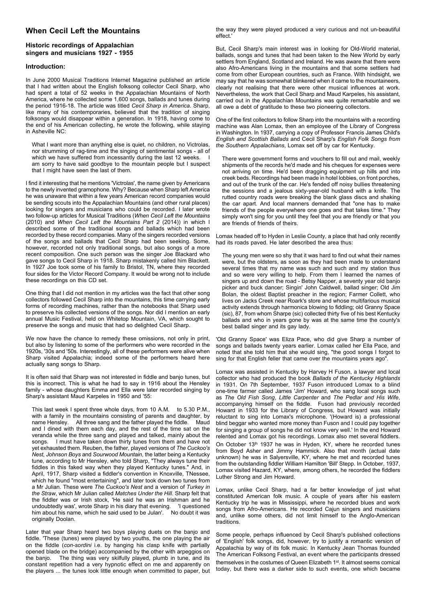# **When Cecil Left the Mountains**

# **Historic recordings of Appalachian singers and musicians 1927 - 1955**

# **Introduction:**

In June 2000 Musical Traditions Internet Magazine published an article that I had written about the English folksong collector Cecil Sharp, who had spent a total of 52 weeks in the Appalachian Mountains of North America, where he collected some 1,600 songs, ballads and tunes during the period 1916-18. The article was titled *Cecil Sharp in America*. Sharp, like many of his contemporaries, believed that the tradition of singing folksongs would disappear within a generation. In 1918, having come to the end of his American collecting, he wrote the following, while staying in Asheville NC:

What I want more than anything else is quiet, no children, no Victrolas, nor strumming of rag-time and the singing of sentimental songs - all of which we have suffered from incessantly during the last 12 weeks. am sorry to have said goodbye to the mountain people but I suspect that I might have seen the last of them.

I find it interesting that he mentions 'Victrolas', the name given by Americans to the newly invented gramophone. Why? Because when Sharp left America he was unaware that within a few years American record companies would be sending scouts into the Appalachian Mountains (and other rural places) looking for singers and musicians who could be recorded. I later wrote two follow-up articles for Musical Traditions (*When Cecil Left the Mountains* (2010) and *When Cecil Left the Mountains Part 2* (2014)) in which I described some of the traditional songs and ballads which had been recorded by these record companies. Many of the singers recorded versions of the songs and ballads that Cecil Sharp had been seeking. Some, however, recorded not only traditional songs, but also songs of a more recent composition. One such person was the singer Joe Blackard who gave songs to Cecil Sharp in 1918. Sharp mistakenly called him Blackett. In 1927 Joe took some of his family to Bristol, TN, where they recorded four sides for the Victor Record Company. It would be wrong not to include these recordings on this CD set.

One thing that I did not mention in my articles was the fact that other song collectors followed Cecil Sharp into the mountains, this time carrying early forms of recording machines, rather than the notebooks that Sharp used to preserve his collected versions of the songs. Nor did I mention an early annual Music Festival, held on Whitetop Mountain, VA, which sought to preserve the songs and music that had so delighted Cecil Sharp.

We now have the chance to remedy these omissions, not only in print, but also by listening to some of the performers who were recorded in the 1920s, '30s and '50s. Interestingly, all of these performers were alive when Sharp visited Appalachia; indeed some of the performers heard here actually sang songs to Sharp.

It is often said that Sharp was not interested in fiddle and banjo tunes, but this is incorrect. This is what he had to say in 1916 about the Hensley family - whose daughters Emma and Ella were later recorded singing by Sharp's assistant Maud Karpeles in 1950 and '55:

This last week I spent three whole days, from 10 A.M. to 5.30 P.M., with a family in the mountains consisting of parents and daughter, by name Hensley. All three sang and the father played the fiddle. Maud and I dined with them each day, and the rest of the time sat on the veranda while the three sang and played and talked, mainly about the songs. I must have taken down thirty tunes from them and have not yet exhausted them. Reuben, the father, played versions of *The Cuckoo's Nest*, *Johnson Boys* and *Sourwood Mountain*, the latter being a Kentucky tune, according to Mr Hensley, who told Sharp, "They always tune their fiddles in this faked way when they played Kentucky tunes." And, in April, 1917, Sharp visited a fiddler's convention in Knoxville, TNessee, which he found "most entertaining", and later took down two tunes from a Mr Julian. These were *The Cuckoo's Nest* and a version of *Turkey in the Straw*, which Mr Julian called *Matches Under the Hill*. Sharp felt that the fiddler was or Irish stock, 'He said he was an Irishman and he undoubtedly was', wrote Sharp in his diary that evening. 'I questioned him about his name, which he said used to be Julan'. No doubt it was originally Doolan.

Later that year Sharp heard two boys playing duets on the banjo and fiddle. 'These (tunes) were played by two youths, the one playing the air on the fiddle (*con-sordini* i.e. by hanging his clasp knife with partially opened blade on the bridge) accompanied by the other with arpeggios on the banjo. The thing was very skilfully played, plumb in tune, and its constant repetition had a very hypnotic effect on me and apparently on the players ... the tunes look little enough when committed to paper, but

the way they were played produced a very curious and not un-beautiful effect.'

But, Cecil Sharp's main interest was in looking for Old-World material, ballads, songs and tunes that had been taken to the New World by early settlers from England, Scotland and Ireland. He was aware that there were also Afro-Americans living in the mountains and that some settlers had come from other European countries, such as France. With hindsight, we may say that he was somewhat blinkered when it came to the mountaineers, clearly not realising that there were other musical influences at work. Nevertheless, the work that Cecil Sharp and Maud Karpeles, his assistant, carried out in the Appalachian Mountains was quite remarkable and we all owe a debt of gratitude to these two pioneering collectors.

One of the first collectors to follow Sharp into the mountains with a recording machine was Alan Lomax, then an employee of the Library of Congress in Washington. In 1937, carrying a copy of Professor Francis James Child's *English and Scottish Ballads* and Cecil Sharp's *English Folk Songs from the Southern Appalachians*, Lomax set off by car for Kentucky.

There were government forms and vouchers to fill out and mail, weekly shipments of the records he'd made and his cheques for expenses were not arriving on time. He'd been dragging equipment up hills and into creek beds. Recordings had been made in hotel lobbies, on front porches, and out of the trunk of the car. He's fended off noisy bullies threatening the sessions and a jealous sixty-year-old husband with a knife. The rutted country roads were breaking the blank glass discs and shaking the car apart. And local manners demanded that "one has to make friends of the people everywhere one goes and that takes time." They simply won't sing for you until they feel that you are friendly or that you are friends of friends of theirs.

Lomax headed off to Hyden in Leslie County, a place that had only recently had its roads paved. He later described the area thus:

The young men were so shy that it was hard to find out what their names were, but the oldsters, as soon as they had been made to understand several times that my name was such and such and my station thus and so were very willing to help. From them I learned the names of singers up and down the road - Betsy Napper, a seventy year old banjo picker and buck dancer; Singin' John Caldwell, ballad singer; Old Jim Bolan, the oldest Baptist preacher in the region; Farmer Collett, who lives on Jacks Creek near Roark's store and whose multifarious musical activity extends through harmonica blowing to fiddling; old Granny Space (sic), 87, from whom Sharpe (sic) collected thirty five of his best Kentucky ballads and who in years gone by was at the same time the county's best ballad singer and its gay lady.

'Old Granny Space' was Eliza Pace, who did give Sharp a number of songs and ballads twenty years earlier. Lomax called her Ella Pace, and noted that she told him that she would sing, "the good songs I forgot to sing for that English feller that came over the mountains years ago".

Lomax was assisted in Kentucky by Harvey H Fuson, a lawyer and local collector who had produced the book *Ballads of the Kentucky Highlands* in 1931. On 7th September, 1937 Fuson introduced Lomax to a blind one-time farmer called James 'Jim' Howard, who sang local songs such as *The Old Fish Song*, *Little Carpenter* and *The Pedlar and His Wife*, accompanying himself on the fiddle. Fuson had previously recorded Howard in 1933 for the Library of Congress, but Howard was initially reluctant to sing into Lomax's microphone. '(Howard is) a professional blind beggar who wanted more money than Fuson and I could pay together for singing a group of songs he did not know very well.' In the end Howard relented and Lomax got his recordings. Lomax also met several fiddlers. On October 13<sup>th</sup> 1937 he was in Hyden, KY, where he recorded tunes from Boyd Asher and Jimmy Hammick. Also that month (actual date unknown) he was in Salyersville, KY, where he met and recorded tunes from the outstanding fiddler William Hamilton 'Bill' Stepp. In October, 1937, Lomax visited Hazard, KY, where, among others, he recorded the fiddlers Luther Strong and Jim Howard.

Lomax, unlike Cecil Sharp, had a far better knowledge of just what constituted American folk music. A couple of years after his eastern Kentucky trip he was in Mississippi, where he recorded blues and work songs from Afro-Americans. He recorded Cajun singers and musicians and, unlike some others, did not limit himself to the Anglo-American traditions.

Some people, perhaps influenced by Cecil Sharp's published collections of 'English' folk songs, did, however, try to justify a romantic version of Appalachia by way of its folk music. In Kentucky Jean Thomas founded The American Folksong Festival, an event where the participants dressed themselves in the costumes of Queen Elizabeth 1st. It almost seems comical today, but there was a darker side to such events, one which became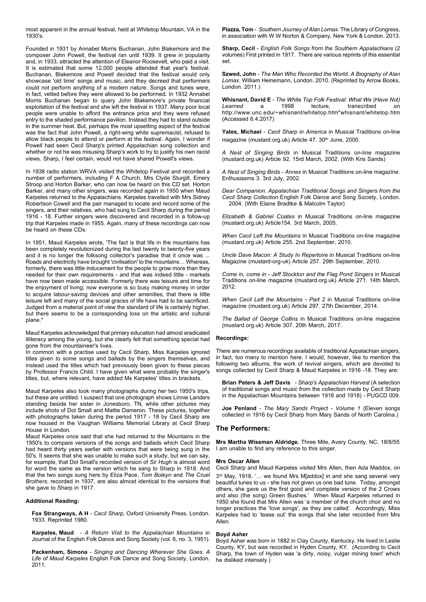most apparent in the annual festival, held at Whitetop Mountain, VA in the 1930's.

Founded in 1931 by Annabel Morris Buchanan, John Blakemore and the composer John Powell, the festival ran until 1939. It grew in popularity and, in 1933, attracted the attention of Eleanor Roosevelt, who paid a visit. It is estimated that some 12,000 people attended that year's festival. Buchanan, Blakemore and Powell decided that the festival would only showcase 'old time' songs and music, and they decreed that performers could not perform anything of a modern nature. Songs and tunes were, in fact, vetted before they were allowed to be performed. In 1932 Annabel Morris Buchanan began to query John Blakemore's private financial exploitation of the festival and she left the festival in 1937. Many poor local people were unable to afford the entrance price and they were refused entry to the shaded performance pavilion. Instead they had to stand outside in the summer heat. But, perhaps the most upsetting aspect of the festival was the fact that John Powell, a right-wing white supremacist, refused to allow black people to attend or perform at the festival. Again, I wonder if Powell had seen Cecil Sharp's printed Appalachian song collection and whether or not he was misusing Sharp's work to try to justify his own racist views. Sharp, I feel certain, would not have shared Powell's views.

In 1938 radio station WRVA visited the Whitetop Festival and recorded a number of performers, including F A Church, Mrs Clyde Sturgill, Emery Stroop and Horton Barker, who can now be heard on this CD set. Horton Barker, and many other singers, was recorded again in 1950 when Maud Karpeles returned to the Appalachians. Karpeles travelled with Mrs Sidney Robertson Cowell and the pair managed to locate and record some of the singers, and their relatives, who had sung to Cecil Sharp during the period 1916 - 18. Further singers were discovered and recorded in a follow-up trip that Karpeles made in 1955. Again, many of these recordings can now be heard on these CDs.

In 1951, Maud Karpeles wrote, 'The fact is that life in the mountains has been completely revolutionized during the last twenty to twenty-five years and it is no longer the folksong collector's paradise that it once was ... Roads and electricity have brought 'civilisation' to the mountains… Whereas, formerly, there was little inducement for the people to grow more than they needed for their own requirements - and that was indeed little - markets have now been made accessible. Formerly there was leisure and time for the enjoyment of living; now everyone is so busy making money in order to acquire labour-saving devices and other amenities, that there is little leisure left and many of the social graces of life have had to be sacrificed. Judged from a material point of view the standard of life is certainly higher, but there seems to be a corresponding loss on the artistic and cultural plane."

Maud Karpeles acknowledged that primary education had almost eradicated illiteracy among the young, but she clearly felt that something special had gone from the mountaineer's lives.

In common with a practise used by Cecil Sharp, Miss Karpeles ignored titles given to some songs and ballads by the singers themselves, and instead used the titles which had previously been given to these pieces by Professor Francis Child. I have given what were probably the singer's titles, but, where relevant, have added Ms Karpeles' titles in brackets.

Maud Karpeles also took many photographs during her two 1950's trips, but these are untitled. I suspect that one photograph shows Linnie Landers standing beside her sister in Jonesboro, TN, while other pictures may include shots of Dol Small and Mattie Dameron. These pictures, together with photographs taken during the period 1917 - 18 by Cecil Sharp are now housed in the Vaughan Williams Memorial Library at Cecil Sharp House in London.

Maud Karpeles once said that she had returned to the Mountains in the 1950's to compare versions of the songs and ballads which Cecil Sharp had heard thirty years earlier with versions that were being sung in the 50's. It seems that she was unable to make such a study, but we can say, for example, that Dol Small's recorded version of *Sir Hugh* is almost word for word the same as the version which he sang to Sharp in 1918. And that the two songs sung here by Eliza Pace, *Tom Boleyn* and *The Cruel Brothers*, recorded in 1937, are also almost identical to the versions that she gave to Sharp in 1917.

#### **Additional Reading:**

**Fox Strangways, A H** - *Cecil Sharp,* Oxford University Press, London. 1933. Reprinted 1980.

**Karpeles, Maud** *- A Return Visit to the Appalachian Mountains* in Journal of the English Folk Dance and Song Society (vol. 6, no. 3, 1951).

**Packenham, Simona** - *Singing and Dancing Wherever She Goes. A Life of Maud Karpeles* English Folk Dance and Song Society, London. 2011.

**Piazza, Tom** - *Southern Journey of Alan Lomax*. The Library of Congress, in association with W W Norton & Company, New York & London. 2013.

**Sharp, Cecil** - *English Folk Songs from the Southern Appalachians* (2 volumes) First printed in 1917. There are various reprints of this essential set.

**Szwed, John** - *The Man Who Recorded the World. A Biography of Alan Lomax.* William Heinemann, London. 2010. (Reprinted by Arrow Books, London. 2011.)

**Whisnant, David E** - *The White Top Folk Festival: What We (Have Not) Learned* a 1998 lecture, transcribed on http://www.unc.edu/~whisnant/whitetop.htm"whisnant/whitetop.htm (Accessed 6.4.2017)

**Yates, Michael** - *Cecil Sharp in America* in Musical Traditions on-line magazine (mustard.org.uk) Article 47. 30<sup>th</sup> June, 2000.

*A Nest of Singing Birds* in Musical Traditions on-line magazine (mustard.org.uk) Article 92. 15rd March, 2002. (With Kris Sands)

*A Nest of Singing Birds - Annex* in Musical Traditions on-line magazine. Enthusiasms 3. 3rd July, 2002.

*Dear Companion. Appalachian Traditional Songs and Singers from the Cecil Sharp Collection* English Folk Dance and Song Society, London. 2004. (With Elaine Bradtke & Malcolm Taylor)

*Elizabeth & Gabriel Coates* in Musical Traditions on-line magazine (mustard.org.uk) Article154. 3rd March, 2005.

*When Cecil Left the Mountains* in Musical Traditions on-line magazine (mustard.org.uk) Article 255. 2nd September, 2010.

*Uncle Dave Macon: A Study In Repertoire* in Musical Traditions on-line Magazine (mustard-org-uk) Article 257. 29th September, 2010.

*Come in, come in - Jeff Stockton and the Flag Pond Singers* in Musical Traditions on-line magazine (mustard.org.uk) Article 271. 14th March, 2012.

*When Cecil Left the Mountains - Part 2* in Musical Traditions on-line magazine (mustard.org.uk) Article 297. 27th December, 2014.

*The Ballad of George Collins* in Musical Traditions on-line magazine (mustard.org.uk) Article 307. 20th March, 2017.

#### **Recordings:**

There are numerous recordings available of traditional Appalachian singers, in fact, too many to mention here. I would, however, like to mention the following two albums, the work of revival singers, which are devoted to songs collected by Cecil Sharp & Maud Karpeles in 1916 -18. They are:

**Brian Peters & Jeff Davis** *- Sharp's Appalachian Harvest* (A selection of traditional songs and music from the collection made by Cecil Sharp in the Appalachian Mountains between 1916 and 1918) *-* PUGCD 009.

**Joe Penland** - *The Mary Sands Project - Volume 1* (Eleven songs collected in 1916 by Cecil Sharp from Mary Sands of North Carolina.)

# **The Performers:**

**Mrs Martha Wiseman Aldridge.** Three Mile, Avery County, NC. 18/8/55 I am unable to find any reference to this singer.

#### **Mrs Oscar Allen**

Cecil Sharp and Maud Karpeles visited Mrs Allen, then Ada Maddox, on 3 rd May, 1918. '… we found Mrs M[addox] in and she sang several very beautiful tunes to us - she has not given us one bad tune. Today, amongst others, she gave us the first good and complete version of the 2 Crows and also (the song) Green Bushes.' When Maud Karpeles returned in 1950 she found that Mrs Allen was 'a member of the church choir and no longer practices the 'love songs', as they are called'. Accordingly, Miss Karpeles had to 'tease out' the songs that she later recorded from Mrs Allen.

# **Boyd Asher**

Boyd Asher was born in 1882 in Clay County, Kentucky. He lived in Leslie County, KY, but was recorded in Hyden County, KY. (According to Cecil Sharp, the town of Hyden was 'a dirty, noisy, vulgar mining town' which he disliked intensely.)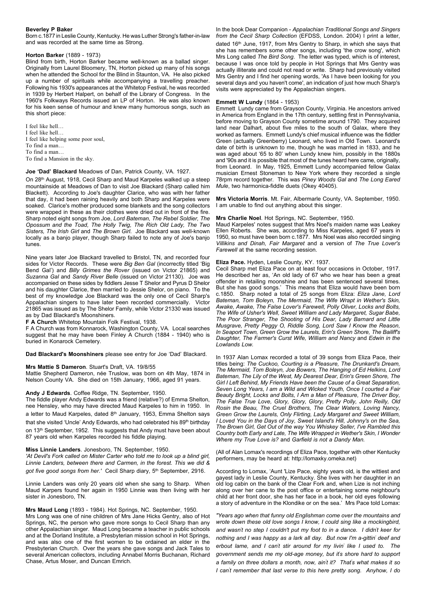# **Beverley P Baker**

Born c.1877 in Leslie County, Kentucky. He was Luther Strong's father-in-law and was recorded at the same time as Strong.

# **Horton Barker** (1889 - 1973)

Blind from birth, Horton Barker became well-known as a ballad singer. Originally from Laurel Bloomery, TN, Horton picked up many of his songs when he attended the School for the Blind in Staunton, VA. He also picked up a number of spirituals while accompanying a travelling preacher. Following his 1930's appearances at the Whitetop Festival, he was recorded in 1939 by Herbert Halpert, on behalf of the Library of Congress. In the 1960's Folkways Records issued an LP of Horton. He was also known for his keen sense of humour and knew many humorous songs, such as this short piece:

I feel like hell… I feel like hell… I feel like helping some poor soul, To find a man… To find a man… To find a Mansion in the sky.

#### **Joe 'Dad' Blackard** Meadows of Dan, Patrick County, VA. 1927.

On 28<sup>th</sup> August, 1918, Cecil Sharp and Maud Karpeles walked up a steep mountainside at Meadows of Dan to visit Joe Blackard (Sharp called him Blackett). According to Joe's daughter Clarice, who was with her father that day, it had been raining heavily and both Sharp and Karpeles were soaked. Clarice's mother produced some blankets and the song collectors were wrapped in these as their clothes were dried out in front of the fire. Sharp noted eight songs from Joe, *Lord Bateman, The Rebel Soldier, The Opossum and the Toad, The Holly Twig, The Rich Old Lady, The Two Sisters, The Irish Girl* and *The Brown Girl*. Joe Blackard was well-known locally as a banjo player, though Sharp failed to note any of Joe's banjo tunes.

Nine years later Joe Blackard travelled to Bristol, TN, and recorded four sides for Victor Records. These were *Big Ben Gal* (incorrectly titled 'Big Bend Gal') and *Billy Grimes the Rover* (issued on Victor 21865) and *Suzanna Gal* and *Sandy River Belle* (issued on Victor 21130). Joe was accompanied on these sides by fiddlers Jesse T Shelor and Pyrus D Shelor and his daughter Clarice, then married to Jessie Shelor, on piano. To the best of my knowledge Joe Blackard was the only one of Cecil Sharp's Appalachian singers to have later been recorded commercially. Victor 21865 was issued as by The Shelor Family, while Victor 21330 was issued as by Dad Blackard's Moonshiners.

#### **F A Church** Whitetop Mountain Folk Festival, 1938.

F A Church was from Konnarock, Washington County, VA. Local searches suggest that he may have been Finley A Church (1884 - 1940) who is buried in Konarock Cemetery.

**Dad Blackard's Moonshiners** please see entry for Joe 'Dad' Blackard.

#### **Mrs Mattie S Dameron**. Stuart's Draft, VA. 19/8/55

Mattie Shepherd Dameron, née Truslow, was born on 4th May, 1874 in Nelson County VA. She died on 15th January, 1966, aged 91 years.

#### **Andy J Edwards**. Coffee Ridge, TN. September, 1950.

The fiddle player Andy Edwards was a friend (relative?) of Emma Shelton, nee Hensley, who may have directed Maud Karpeles to him in 1950. In a letter to Maud Karpeles, dated 8<sup>th</sup> January, 1953, Emma Shelton says that she visited 'Uncle' Andy Edwards, who had celebrated his 89<sup>th</sup> birthday on 13<sup>th</sup> September, 1952. This suggests that Andy must have been about 87 years old when Karpeles recorded his fiddle playing.

# **Miss Linnie Landers**. Jonesboro, TN. September, 1950.

*'At Devil's Fork called on Mister Carter who told me to look up a blind girl, Linnie Landers, between there and Carmen, in the forest. This we did &* got five good songs from her.' Cecil Sharp diary, 5<sup>th</sup> September, 2916.

Linnie Landers was only 20 years old when she sang to Sharp. When Maud Karpers found her again in 1950 Linnie was then living with her sister in Jonesboro, TN.

#### **Mrs Maud Long** (1893 - 1984). Hot Springs, NC. September, 1950.

Mrs Long was one of nine children of Mrs Jane Hicks Gentry, also of Hot Springs, NC, the person who gave more songs to Cecil Sharp than any other Appalachian singer. Maud Long became a teacher in public schools and at the Dorland Institute, a Presbyterian mission school in Hot Springs, and was also one of the first women to be ordained an elder in the **Presbyterian Church.** Over the years she gave songs and Jack Tales to several American collectors, including Annabel Morris Buchanan, Richard Chase, Artus Moser, and Duncan Emrich.

In the book Dear Companion - *Appalachian Traditional Songs and Singers from the Cecil Sharp Collection* (EFDSS, London. 2004) I print a letter, dated 16<sup>th</sup> June, 1917, from Mrs Gentry to Sharp, in which she says that she has remembers some other songs, including 'the crow song', which Mrs Long called *The Bird Song*. The letter was typed, which is of interest, because I was once told by people in Hot Springs that Mrs Gentry was actually illiterate and could not read or write. Sharp had previously visited Mrs Gentry and I find her opening words, 'As I have been looking for you several days and you haven't come', an indication of just how much Sharp's visits were appreciated by the Appalachian singers.

# **Emmett W Lundy** (1864 - 1953)

Emmett Lundy came from Grayson County, Virginia. He ancestors arrived in America from England in the 17th century, settling first in Pennsylvania, before moving to Grayson County sometime around 1790. They acquired land near Dalhart, about five miles to the south of Galax, where they worked as farmers. Emmett Lundy's chief musical influence was the fiddler Green (actually Greenberry) Leonard, who lived in Old Town. Leonard's date of birth is unknown to me, though he was married in 1833, and he was aged about '65 to 80' when Lundy knew him, possibly in the 1880s and '90s and it is possible that most of the tunes heard here came, originally, from Leonard. In May, 1925, Emmett Lundy accompanied fellow Galax musician Ernest Stoneman to New York where they recorded a single 78rpm record together. This was *Piney Woods Gal* and *The Long Eared Mule*, two harmonica-fiddle duets (Okey 40405).

**Mrs Victoria Morris**. Mt. Fair, Albermarle County, VA. September, 1950. I am unable to find out anything about this singer.

#### **Mrs Charlie Noel**. Hot Springs, NC. September, 1950.

Maud Karpeles' notes suggest that Mrs Noel's maiden name was Leakey Ellen Roberts. She was, according to Miss Karpeles, aged 67 years in 1950, so must have been born c.1877. Mrs Noel was also recorded singing *Villikins and Dinah, Fair Margaret* and a version of *The True Lover's Farewell* at the same recording session.

#### **Eliza Pace.** Hyden, Leslie County, KY. 1937.

Cecil Sharp met Eliza Pace on at least four occasions in October, 1917. He described her as, 'An old lady of 67 who we hear has been a great offender in retailing moonshine and has been sentenced several times. But she has good songs.' This means that Eliza would have been born c.1850. Sharp noted a total of 25 songs from Eliza: *Eliza Jane, Lord Bateman, Tom Boleyn, The Mermaid, The Wife Wrapt in Wether's Skin, Awake, Awake, The False Lover's Farewell, Polly Oliver, Locks and Bolts, The Wife of Usher's Well, Sweet William and Lady Margaret, Sugar Babe, The Poor Stranger, The Shooting of His Dear, Lady Barnard and Little Musgrave, Pretty Peggy O, Riddle Song, Lord Saw I Know the Reason, In Seaport Town, Green Grow the Laurels, Erin's Green Shore, The Bailiff's Daughter, The Farmer's Curst Wife, William and Nancy* and *Edwin in the Lowlands Low.*

In 1937 Alan Lomax recorded a total of 39 songs from Eliza Pace, their titles being: *The Cuckoo, Courting is a Pleasure, The Drunkard's Dream, The Mermaid, Tom Boleyn, Joe Bowers, The Hanging of Ed Helkins, Lord Bateman, The Lily of the West, My Dearest Dear, Erin's Green Shore, The Girl I Left Behind, My Friends Have been the Cause of a Great Separation, Seven Long Years, I am a Wild and Wicked Youth, Once I courted a Fair Beauty Bright, Locks and Bolts, I Am a Man of Pleasure, The Driver Boy, The False True Love, Glory, Glory, Glory, Pretty Polly, John Reilly, Old Rosin the Beau, The Cruel Brothers, The Clear Waters, Loving Nancy, Green Grow the Laurels, Only Flirting, Lady Margaret and Sweet William, I Loved You in the Days of Joy, Sweet Island's Hill, Johnny's on the Sea, The Brown Girl, Get Out of the way You Whiskey Seller, I've Rambled this Country both Early and Late, The Wife Wrapped in Wether's Skin, I Wonder Where my True Love is?* and *Garfield is not a Dandy Man.*

(All of Alan Lomax's recordings of Eliza Pace, together with other Kentucky performers, may be heard at: http://lomaxky.omeka.net)

According to Lomax, 'Aunt 'Lize Pace, eighty years old, is the wittiest and gayest lady in Leslie County, Kentucky. She lives with her daughter in an old log cabin on the bank of the Clear Fork and, when Lize is not inching along over her cane to the post office or entertaining some neighbour's child at her front door, she has her face in a book, her old eyes following a story of adventure in the Klondike or on the sea.' Mrs Pace told Lomax:

*"Years ago when that funny old Englishman come over the mountains and wrote down these old love songs I know, I could sing like a mockingbird, and wasn' t no step I couldn't put my foot to in a dance. I didn' t keer for nothing and I was happy as a lark all day. But now I'm a-gittin' deef and erbout lame, and I can' t stir around for my livin' like I used to. The government sends me my old-age money, but it's shore hard to support a family on three dollars a month, now, ain' t it? That's what makes it so I can' t remember that last verse to this here pretty song. Anyhow, I do*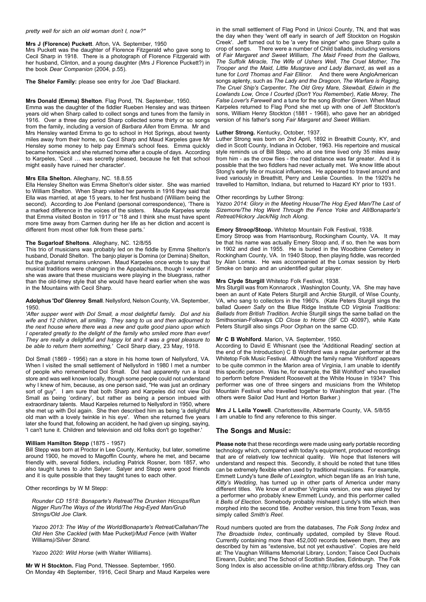#### *pretty well for sich an old woman don' t I, now?"*

#### **Mrs J (Florence) Puckett**. Afton, VA. September, 1950

Mrs Puckett was the daughter of Florence Fitzgerald who gave song to Cecil Sharp in 1918. There is a photograph of Florence Fitzgerald with her husband, Clinton, and a young daughter (Mrs J Florence Puckett?) in the book *Dear Companion* (2004, p.55).

**The Shelor Family:** please see entry for Joe 'Dad' Blackard.

# **Mrs Donald (Emma) Shelton**. Flag Pond, TN. September, 1950.

Emma was the daughter of the fiddler Rueben Hensley and was thirteen years old when Sharp called to collect songs and tunes from the family in 1916. Over a three day period Sharp collected some thirty or so songs from the family, including a version of *Barbara Allen* from Emma. Mr and Mrs Hensley wanted Emma to go to school in Hot Springs, about twenty miles away from their home, so Cecil Sharp and Maud Karpeles gave Mr Hensley some money to help pay Emma's school fees. Emma quickly became homesick and she returned home after a couple of days. According to Karpeles, 'Cecil … was secretly pleased, because he felt that school might easily have ruined her character'.

#### **Mrs Ella Shelton.** Alleghany, NC. 18.8.55

Ella Hensley Shelton was Emma Shelton's older sister. She was married to William Shelton. When Sharp visited her parents in 1916 they said that Ella was married, at age 15 years, to her first husband (William being the second). According to Joe Penland (personal correspondence), 'There is a marked difference in the voices of the sisters. Maude Karpeles wrote that Emma visited Boston in 1917 or '18 and I think she must have spent more time away from Carmen during her life as her diction and accent is different from most other folk from these parts.'

#### **The Sugarloaf Sheltons**. Alleghany, NC. 12/8/55

This trio of musicians was probably led on the fiddle by Emma Shelton's husband, Donald Shelton. The banjo player is Domina (or Demina) Shelton, but the guitarist remains unknown. Maud Karpeles once wrote to say that musical traditions were changing in the Appalachians, though I wonder if she was aware that these musicians were playing in the bluegrass, rather than the old-timey style that she would have heard earlier when she was in the Mountains with Cecil Sharp.

#### **Adolphus 'Dol' Glenroy Small**. Nellysford, Nelson County, VA. September, 1950.

*'After supper went with Dol Small, a most delightful family. Dol and his wife and 12 children, all smiling. They sang to us and then adjourned to the next house where there was a new and quite good piano upon which I operated greatly to the delight of the family who smiled more than ever! They are really a delightful and happy lot and it was a great pleasure to be able to return them something,'* Cecil Sharp diary, 23 May, 1918.

Dol Small (1869 - 1956) ran a store in his home town of Nellysford, VA. When I visited the small settlement of Nellysford in 1980 I met a number of people who remembered Dol Small. Dol had apparently run a local store and was well known locally, though some people could not understand why I knew of him, because, as one person said, "He was just an ordinary sort of guy". I am sure that both Sharp and Karpeles did not view Dol Small as being 'ordinary', but rather as being a person imbued with extraordinary talents. Maud Karpeles returned to Nellysford in 1950, where she met up with Dol again. She then described him as being 'a delightful old man with a lovely twinkle in his eye'. When she returned five years later she found that, following an accident, he had given up singing, saying, 'I can't tune it. Children and television and old folks don't go together.'

#### **William Hamilton Stepp** (1875 - 1957)

Bill Stepp was born at Proctor in Lee County, Kentucky, but later, sometime around 1900, he moved to Magoffin County, where he met, and became friendly with, several fiddlers, including Patrick Rosner, born 1857, who also taught tunes to John Salyer. Salyer and Stepp were good friends and it is quite possible that they taught tunes to each other.

Other recordings by W M Stepp:

*Rounder CD 1518: Bonaparte's Retreat/The Drunken Hiccups/Run Nigger Run/The Ways of the World/The Hog-Eyed Man/Grub Strings/Old Joe Clark*.

*Yazoo 2013: The Way of the World/Bonaparte's Retreat/Callahan/The Old Hen She Cackled* (with Mae Pucket*)/Mud Fence* (with Walter Williams*)/Silver Strand*.

*Yazoo 2020: Wild Horse* (with Walter Williams).

**Mr W H Stockton.** Flag Pond, TNessee. September, 1950. On Monday 4th September, 1916, Cecil Sharp and Maud Karpeles were in the small settlement of Flag Pond in Unicoi County, TN, and that was the day when they 'went off early in search of Jeff Stockton on Hogskin Creek'. Jeff turned out to be 'a very fine singer' who gave Sharp quite a crop of songs. There were a number of Child ballads, including versions of *Fair Margaret and Sweet William, The Maid Freed from the Gallows, The Suffolk Miracle, The Wife of Ushers Well, The Cruel Mother, The Trooper and the Maid, Little Musgrave and Lady Barnard*, as well as a tune for *Lord Thomas and Fair Ellinor*. And there were AngloAmerican songs aplenty, such as *The Lady and the Dragoon, The Warfare is Raging, The Cruel Ship's Carpenter, The Old Grey Mare, Skewball, Edwin in the Lowlands Low, Once I Courted (Don't You Remember), Katie Morey, The False Lover's Farewell* and a tune for the song *Brother Green*. When Maud Karpeles returned to Flag Pond she met up with one of Jeff Stockton's sons, William Henry Stockton (1881 - 1968), who gave her an abridged version of his father's song *Fair Margaret and Sweet William.*

#### **Luther Strong.** Kentucky, October, 1937.

Luther Strong was born on 2nd April, 1892 in Breathitt County, KY, and died in Scott County, Indiana in October, 1963. His repertoire and musical style reminds us of Bill Stepp, who at one time lived only 35 miles away from him - as the crow flies - the road distance was far greater. And it is possible that the two fiddlers had never actually met. We know little about Stong's early life or musical influences. He appeared to travel around and lived variously in Breathitt, Perry and Leslie Counties. In the 1920's he travelled to Hamilton, Indiana, but returned to Hazard KY prior to 1931.

# Other recordings by Luther Strong:

*Yazoo 2014: Glory in the Meeting House/The Hog Eyed Man/The Last of Sizemore/The Hog Went Through the Fence Yoke and All/Bonaparte's Retreat/Hickory Jack/Nig Inch Along*.

# **Emory Stroop/Stoop.** Whitetop Mountain Folk Festival, 1938.

Emory Stroop was from Harrisonburg, Rockingham County, VA. It may be that his name was actually Emery Stoop and, if so, then he was born in 1902 and died in 1955. He is buried in the Woodbine Cemetery in Rockingham County, VA. In 1940 Stoop, then playing fiddle, was recorded by Alan Lomax. He was accompanied at the Lomax session by Herb Smoke on banjo and an unidentified guitar player.

#### **Mrs Clyde Sturgill** Whitetop Folk Festival, 1938.

Mrs Sturgill was from Konnarock , Washington County, VA. She may have been an aunt of Kate Peters Sturgill and Archie Sturgill, of Wise County, VA, who sang to collectors in the 1960's. (Kate Peters Sturgill sings the ballad *Queen Sally* on the Blue Ridge Institute CD *Virginia Traditions: Ballads from British Tradition.* Archie Sturgill sings the same ballad on the Smithsonian-Folkways CD *Close to Home* (SF CD 40097), while Kate Peters Sturgill also sings *Poor Orphan* on the same CD.

# **Mr C B Wohlford**. Marion, VA. September, 1950.

According to David E Whisnant (see the 'Additional Reading' section at the end of the Introduction) C B Wohlford was a regular performer at the Whitetop Folk Music Festival. Although the family name 'Wohlford' appears to be quite common in the Marion area of Virginia, I am unable to identify this specific person. Was he, for example, the 'Bill Wohlford' who travelled to perform before President Roosevelt at the White House in 1934? This performer was one of three singers and musicians from the Whitetop Mountain Festival who travelled together to Washington that year. (The others were Sailor Dad Hunt and Horton Barker.)

**Mrs J L Leila Yowell**. Charlottesville, Albermarle County, VA. 5/8/55 I am unable to find any reference to this singer.

# **The Songs and Music:**

**Please note** that these recordings were made using early portable recording technology which, compared with today's equipment, produced recordings that are of relatively low technical quality. We hope that listeners will understand and respect this. Secondly, it should be noted that tune titles can be extremely flexible when used by traditional musicians. For example, Emmett Lundy's tune *Belle of Lexington*, which began life as an Irish tune, *Kitty's Wedding*, has turned up in other parts of America under many different titles. We know of another Virginia version, one was played by a performer who probably knew Emmett Lundy, and this performer called it *Bells of Election*. Somebody probably misheard Lundy's title which then morphed into the second title. Another version, this time from Texas, was simply called *Smith's Reel*.

Roud numbers quoted are from the databases, *The Folk Song Index* and *The Broadside Index*, continually updated, compiled by Steve Roud. Currently containing more than 452,000 records between them, they are described by him as "extensive, but not yet exhaustive". Copies are held at: The Vaughan Williams Memorial Library, London; Taisce Ceol Duchais Eireann, Dublin; and The School of Scottish Studies, Edinburgh. The Folk Song Index is also accessible on-line at:http://library.efdss.org They can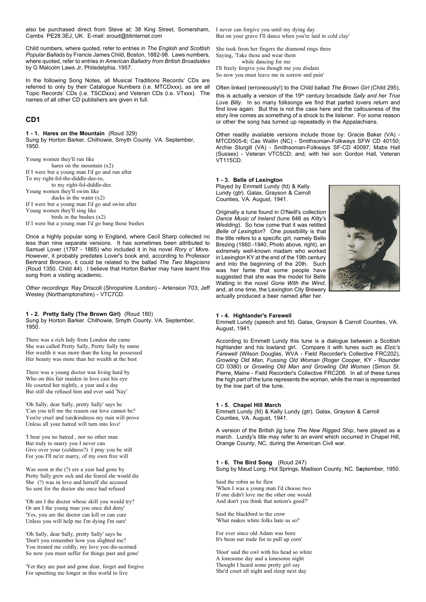also be purchased direct from Steve at: 38 King Street, Somersham, I never can forgive you until my dying day Cambs PE28 3EJ, UK. E-mail: sroud@btinternet.com

Child numbers, where quoted, refer to entries in *The English and Scottish Popular Ballads* by Francis James Child, Boston, 1882-98. Laws numbers, where quoted, refer to entries in *American Balladry from British Broadsides* by G Malcolm Laws Jr, Philadelphia, 1957.

In the following Song Notes, all Musical Traditions Records' CDs are referred to only by their Catalogue Numbers (i.e. MTCDxxx), as are all Topic Records' CDs (i.e. TSCDxxx) and Veteran CDs (i.e. VTxxx). The names of all other CD publishers are given in full.

# **CD1**

**1 - 1. Hares on the Mountain** (Roud 329) Sung by Horton Barker. Chilhowie, Smyth County. VA. September, 1950.

Young women they'll run like hares on the mountain (x2) If I were but a young man I'd go and run after To my right-fol-the-diddle-dee-ro, to my right-fol-diddle-dee. Young women they'll swim like ducks in the water (x2) If I were but a young man I'd go and swim after Young women they'll sing like birds in the bushes  $(x2)$ If I were but a young man I'd go bang those bushes

Once a highly popular song in England, where Cecil Sharp collected no less than nine separate versions. It has sometimes been attributed to Samuel Lover (1797 - 1865) who included it in his novel *Rory o' More*. However, it probably predates Lover's book and, according to Professor Bertrand Bronson, it could be related to the ballad *The Two Magicians* (Roud 1350. Child 44). I believe that Horton Barker may have learnt this song from a visiting academic.

*Other recordings*: Ray Driscoll (Shropshire /London) - Artension 703; Jeff Wesley (Northamptonshire) - VTC7CD.

**1 - 2. Pretty Sally (The Brown Girl)** (Roud 180) Sung by Horton Barker. Chilhowie, Smyth County. VA. September, 1950.

There was a rich lady from London she came She was called Pretty Sally, Pretty Sally by name Her wealth it was more than the king he possessed Her beauty was more than her wealth at the best

There was a young doctor was living hard by Who on this fair maiden in love cast his eye He courted her nightly, a year and a day But still she refused him and ever said 'Nay'

'Oh Sally, dear Sally, pretty Sally' says he 'Can you tell me the reason our love cannot be? You're cruel and (un)kindness my ruin will prove Unless all your hatred will turn into love'

'I bear you no hatred , nor no other man But truly to marry you I never can Give over your (coldness?) I pray you be still For you I'll ne'er marry, of my own free will

Was soon at the (?) ere a year had gone by Pretty Sally grew sick and she feared she would die She (?) was in love and herself she accused So sent for the doctor she once had refused

'Oh am I the doctor whose skill you would try? Or am I the young man you once did deny' 'Yes, you are the doctor can kill or can cure Unless you will help me I'm dying I'm sure'

'Oh Sally, dear Sally, pretty Sally' says he 'Don't you remember how you slighted me? You treated me coldly, my love you dis-scorned So now you must suffer for things past and gone'

'Yet they are past and gone dear, forget and forgive For upsetting me longer in this world to live

But on your grave I'll dance when you're laid in cold clay'

She took from her fingers the diamond rings three Saying, 'Take these and wear them while dancing for me I'll freely forgive you though me you disdain So now you must leave me in sorrow and pain'

Often linked (erroneously!) to the Child ballad *The Brown Girl* (Child 295),

this is actually a version of the 19<sup>th</sup> century broadside Sally and her True Love Billy. In so many folksongs we find that parted lovers return and find love again. But this is not the case here and the callousness of the story line comes as something of a shock to the listener. For some reason or other the song has turned up repeatedly in the Appalachians.

Other readily available versions include those by: Gracie Baker (VA) - MTCD505-6; Cas Wallin (NC) - Smithsonian-Folkways SFW CD 40150; Archie Sturgill (VA) - Smithsonian-Folkways SF-CD 40097; Mabs Hall (Sussex) - Veteran VTC5CD; and, with her son Gordon Hall, Veteran VT115CD.

# **1 - 3. Belle of Lexington**

Played by Emmett Lundy (fd) & Kelly Lundy (gtr). Galax, Grayson & Carroll Counties, VA. August, 1941.

Originally a tune found in O'Neill's collection *Dance Music of Ireland* (tune 846 as *Kitty's Wedding*). So how come that it was retitled *Belle of Lexington*? One possibility is that the title refers to a specific girl, namely Belle Brezing (1860 -1940, Photo above, right), an extremely well-known madam who worked in Lexington KY at the end of the 19th century and into the beginning of the 20th. Such was her fame that some people have suggested that she was the model for Belle Watling in the novel *Gone With the Wind*, and, at one time, the Lexington City Brewery actually produced a beer named after her.



# **1 - 4. Highlander's Farewell**

Emmett Lundy (speech and fd). Galax, Grayson & Carroll Counties, VA. August, 1941.

According to Emmett Lundy this tune is a dialogue between a Scottish highlander and his lowland girl. Compare it with tunes such as *Elzic's Farewell* (Wilson Douglas, WVA - Field Recorder's Collective FRC202), *Growling Old Man, Fussing Old Woman* (Roger Cooper, KY - Rounder CD 0380) or *Growling Old Man and Growling Old Woman* (Simon St. Pierre, Maine - Field Recorder's Collective FRC206. In all of these tunes the high part of the tune represents the woman, while the man is represented by the low part of the tune.

#### **1 - 5. Chapel Hill March**

Emmett Lundy (fd) & Kelly Lundy (gtr). Galax, Grayson & Carroll Counties, VA. August, 1941.

A version of the British jig tune *The New Rigged Ship*, here played as a march. Lundy's title may refer to an event which occurred in Chapel Hill, Orange County, NC, during the American Civil war.

**1 - 6. The Bird Song** (Roud 247) Sung by Maud Long. Hot Springs, Madison County, NC. S**e**ptember, 1950.

Said the robin as he flew 'When I was a young man I'd choose two If one didn't love me the other one would And don't you think that notion's good?'

Said the blackbird to the crow 'What makes white folks hate us so?

For ever since old Adam was born It's been our trade for to pull up corn'

'Hoot' said the owl with his head so white A lonesome day and a lonesome night Thought I heard some pretty girl say She'd court all night and sleep next day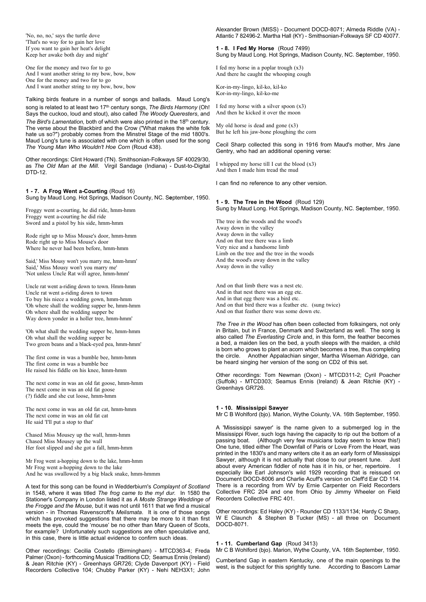'No, no, no,' says the turtle dove 'That's no way for to gain her love If you want to gain her heat's delight Keep her awake both day and night'

One for the money and two for to go And I want another string to my bow, bow, bow One for the money and two for to go And I want another string to my bow, bow, bow

Talking birds feature in a number of songs and ballads. Maud Long's song is related to at least two 17<sup>th</sup> century songs, *The Birds Harmony* (Oh! Says the cuckoo, loud and stout), also called *The Woody Queresters*, and *The Bird's Lamentation*, both of which were also printed in the 18<sup>th</sup> century. The verse about the Blackbird and the Crow ("What makes the white folk hate us so?") probably comes from the Minstrel Stage of the mid 1800's. Maud Long's tune is associated with one which is often used for the song *The Young Man Who Wouldn't Hoe Corn* (Roud 438).

Other recordings: Clint Howard (TN). Smithsonian-Folkways SF 40029/30, as *The Old Man at the Mill*. Virgil Sandage (Indiana) - Dust-to-Digital DTD-12.

# **1 - 7. A Frog Went a-Courting** (Roud 16)

Sung by Maud Long. Hot Springs, Madison County, NC. S**e**ptember, 1950.

Froggy went a-courting, he did ride, hmm-hmm Froggy went a-courting he did ride Sword and a pistol by his side, hmm-hmm

Rode right up to Miss Mouse's door, hmm-hmm Rode right up to Miss Mouse's door Where he never had been before, hmm-hmm

Said,' Miss Mousy won't you marry me, hmm-hmm' Said,' Miss Mousy won't you marry me' 'Not unless Uncle Rat will agree, hmm-hmm'

Uncle rat went a-riding down to town. Hmm-hmm Uncle rat went a-riding down to town To buy his niece a wedding gown, hmm-hmm 'Oh where shall the wedding supper be, hmm-hmm Oh where shall the wedding supper be Way down yonder in a holler tree, hmm-hmm'

'Oh what shall the wedding supper be, hmm-hmm Oh what shall the wedding supper be Two green beans and a black-eyed pea, hmm-hmm'

The first come in was a bumble bee, hmm-hmm The first come in was a bumble bee He raised his fiddle on his knee, hmm-hmm

The next come in was an old fat goose, hmm-hmm The next come in was an old fat goose (?) fiddle and she cut loose, hmm-hmm

The next come in was an old fat cat, hmm-hmm The next come in was an old fat cat He said 'I'll put a stop to that'

Chased Miss Mousey up the wall, hmm-hmm Chased Miss Mousey up the wall Her foot slipped and she got a fall, hmm-hmm

Mr Frog went a-hopping down to the lake, hmm-hmm Mr Frog went a-hopping down to the lake And he was swallowed by a big black snake, hmm-hmmm

A text for this song can be found in Wedderbiurn's *Complaynt of Scotland* in 1548, where it was titled *The frog came to the myl dur.* In 1580 the Stationer's Company in London listed it as *A Moste Strange Weddinge of the Frogge and the Mouse,* but it was not until 1611 that we find a musical version - in Thomas Ravenscroft's *Melismata*. It is one of those songs which has provoked suggestions that there may be more to it than first meets the eye, could the 'mouse' be no other than Mary Queen of Scots, for example? Unfortunately such suggestions are often speculative and, in this case, there is little actual evidence to confirm such ideas.

Other recordings: Cecilia Costello (Birmingham) - MTCD363-4; Freda Palmer (Oxon) - forthcoming Musical Traditions CD; Seamus Ennis (Ireland) & Jean Ritchie (KY) - Greenhays GR726; Clyde Davenport (KY) - Field Recorders Collective 104; Chubby Parker (KY) - Nehi NEH3X1; John

Alexander Brown (MISS) - Document DOCD-8071; Almeda Riddle (VA) - Atlantic 7 82496-2. Martha Hall (KY) - Smithsonian-Folkways SF CD 40077.

**1 - 8. I Fed My Horse** (Roud 7499) Sung by Maud Long. Hot Springs, Madison County, NC. S**e**ptember, 1950.

I fed my horse in a poplar trough (x3) And there he caught the whooping cough

Kor-in-my-lingo, kil-ko, kil-ko Kor-in-my-lingo, kil-ko-me

I fed my horse with a silver spoon (x3) And then he kicked it over the moon

My old horse is dead and gone (x3) But he left his jaw-bone ploughing the corn

Cecil Sharp collected this song in 1916 from Maud's mother, Mrs Jane Gentry, who had an additional opening verse:

I whipped my horse till I cut the blood (x3) And then I made him tread the mud

I can find no reference to any other version.

**1 - 9. The Tree in the Wood** (Roud 129) Sung by Maud Long. Hot Springs, Madison County, NC. S**e**ptember, 1950.

The tree in the woods and the wood's Away down in the valley Away down in the valley And on that tree there was a limb Very nice and a handsome limb Limb on the tree and the tree in the woods And the wood's away down in the valley Away down in the valley

And on that limb there was a nest etc. And in that nest there was an egg etc. And in that egg there was a bird etc. And on that bird there was a feather etc. (sung twice) And on that feather there was some down etc.

*The Tree in the Wood* has often been collected from folksingers, not only in Britain, but in France, Denmark and Switzerland as well. The song is also called *The Everlasting Circle* and, in this form, the feather becomes a bed, a maiden lies on the bed, a youth sleeps with the maiden, a child is born who grows to plant an acorn which becomes a tree, thus completing the circle. Another Appalachian singer, Martha Wiseman Aldridge, can be heard singing her version of the song on CD2 of this set.

Other recordings: Tom Newman (Oxon) - MTCD311-2; Cyril Poacher (Suffolk) - MTCD303; Seamus Ennis (Ireland) & Jean Ritchie (KY) - Greenhays GR726.

### **1 - 10. Mississippi Sawyer**

Mr C B Wohlford (bjo). Marion, Wythe Coiunty, VA. 16th September, 1950.

A 'Mississippi sawyer' is the name given to a submerged log in the Mississippi River, such logs having the capacity to rip out the bottom of a passing boat. (Although very few musicians today seem to know this!) One tune, titled either The Downfall of Paris or Love From the Heart, was printed in the 1830's and many writers cite it as an early form of Mississippi Sawyer, although it is not actually that close to our present tune. Just about every American fiddler of note has it in his, or her, repertoire. especially like Earl Johnson's wild 1929 recording that is reissued on Document DOCD-8006 and Charlie Acuff's version on Cleff'd Ear CD 114. There is a recording from WV by Ernie Carpenter on Field Recorders Collective FRC 204 and one from Ohio by Jimmy Wheeler on Field Recorders Collective FRC 401.

Other recordings: Ed Haley (KY) - Rounder CD 1133/1134; Hardy C Sharp, W E Claunch & Stephen B Tucker (MS) - all three on Document DOCD-8071.

# **1 - 11. Cumberland Gap** (Roud 3413)

Mr C B Wohlford (bjo). Marion, Wythe County, VA. 16th September, 1950.

Cumberland Gap in eastern Kentucky, one of the main openings to the west, is the subject for this sprightly tune. According to Bascom Lamar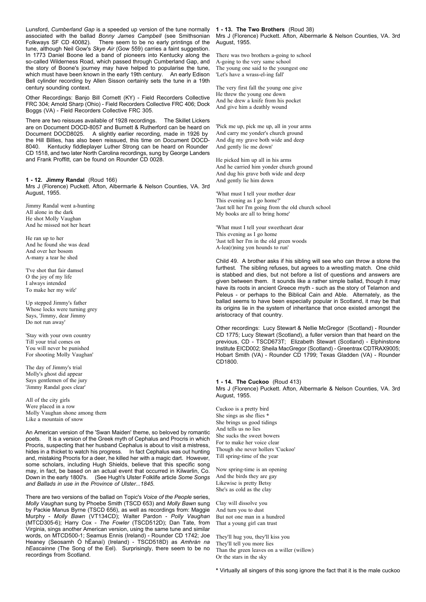Lunsford, *Cumberland Gap* is a speeded up version of the tune normally associated with the ballad *Bonny James Campbell* (see Smithsonian Folkways SF CD 40082). There seem to be no early printings of the tune, although Neil Gow's *Skye Air* (Gow 559) carries a faint suggestion. In 1773 Daniel Boone led a band of pioneers into Kentucky along the so-called Wilderness Road, which passed through Cumberland Gap, and the story of Boone's journey may have helped to popularise the tune, which must have been known in the early 19th century. An early Edison Bell cylinder recording by Allen Sisson certainly sets the tune in a 19th century sounding context.

Other Recordings: Banjo Bill Cornett (KY) - Field Recorders Collective FRC 304; Arnold Sharp (Ohio) - Field Recorders Collective FRC 406; Dock Boggs (VA) - Field Recorders Collective FRC 305.

There are two reissues available of 1928 recordings. The Skillet Lickers are on Document DOCD-8057 and Burnett & Rutherford can be heard on Document DOCD8025. A slightly earlier recording, made in 1926 by the Hill Billies, has also been reissued, this time on Document DOCD-8040. Kentucky fiddleplayer Luther Strong can be heard on Rounder CD 1518, and two later North Carolina recordings, sung by George Landers and Frank Proffitt, can be found on Rounder CD 0028.

# **1 - 12. Jimmy Randal** (Roud 166)

Mrs J (Florence) Puckett. Afton, Albermarle & Nelson Counties, VA. 3rd August, 1955.

Jimmy Randal went a-hunting All alone in the dark He shot Molly Vaughan And he missed not her heart

He ran up to her And he found she was dead And over her bosom A-many a tear he shed

'I've shot that fair damsel O the joy of my life I always intended To make her my wife'

Up stepped Jimmy's father Whose locks were turning grey Says, 'Jimmy, dear Jimmy Do not run away'

'Stay with your own country Till your trial comes on You will never be punished For shooting Molly Vaughan'

The day of Jimmy's trial Molly's ghost did appear Says gentlemen of the jury 'Jimmy Randal goes clear'

All of the city girls Were placed in a row Molly Vaughan shone among them Like a mountain of snow

An American version of the 'Swan Maiden' theme, so beloved by romantic poets. It is a version of the Greek myth of Cephalus and Procris in which Procris, suspecting that her husband Cephalus is about to visit a mistress, hides in a thicket to watch his progress. In fact Cephalus was out hunting and, mistaking Procris for a deer, he killed her with a magic dart. However, some scholars, including Hugh Shields, believe that this specific song may, in fact, be based on an actual event that occurred in Kilwarlin, Co. Down in the early 1800's. (See Hugh's Ulster Folklife article *Some Songs and Ballads in use in the Province of Ulster...1845*.

There are two versions of the ballad on Topic's *Voice of the People* series, *Molly Vaughan* sung by Phoebe Smith (TSCD 653) and *Molly Bawn* sung by Packie Manus Byrne (TSCD 656), as well as recordings from: Maggie Murphy - *Molly Bawn* (VT134CD); Walter Pardon - *Polly Vaughan* (MTCD305-6); Harry Cox - *The Fowler* (TSCD512D); Dan Tate, from Virginia, sings another American version, using the same tune and similar words, on MTCD500-1; Seamus Ennis (Ireland) - Rounder CD 1742; Joe Heaney (Seosamh Ó hÉanaí) (Ireland) - TSCD518D) as *Amhrán na hEascainne* (The Song of the Eel). Surprisingly, there seem to be no recordings from Scotland.

# **1 - 13. The Two Brothers** (Roud 38)

Mrs J (Florence) Puckett. Afton, Albermarle & Nelson Counties, VA. 3rd August, 1955.

There was two brothers a-going to school A-going to the very same school The young one said to the youngest one 'Let's have a wrass-el-ing fall'

The very first fall the young one give He threw the young one down And he drew a knife from his pocket And give him a deathly wound

'Pick me up, pick me up, all in your arms And carry me yonder's church ground And dig my grave both wide and deep And gently lie me down'

He picked him up all in his arms And he carried him yonder church ground And dug his grave both wide and deep And gently lie him down

'What must I tell your mother dear This evening as I go home?' 'Just tell her I'm going from the old church school My books are all to bring home'

'What must I tell your sweetheart dear This evening as I go home 'Just tell her I'm in the old green woods A-lea(r)ning yon hounds to run'

Child 49. A brother asks if his sibling will see who can throw a stone the furthest. The sibling refuses, but agrees to a wrestling match. One child is stabbed and dies, but not before a list of questions and answers are given between them. It sounds like a rather simple ballad, though it may have its roots in ancient Greece myth - such as the story of Telamon and Peleus - or perhaps to the Biblical Cain and Able. Alternately, as the ballad seems to have been especially popular in Scotland, it may be that its origins lie in the system of inheritance that once existed amongst the aristocracy of that country.

Other recordings: Lucy Stewart & Nellie McGregor (Scotland) - Rounder CD 1775; Lucy Stewart (Scotland), a fuller version than that heard on the previous, CD - TSCD673T; Elizabeth Stewart (Scotland) - Elphinstone Institute EICD002; Sheila MacGregor (Scotland) - Greentrax CDTRAX9005; Hobart Smith (VA) - Rounder CD 1799; Texas Gladden (VA) - Rounder CD1800.

# **1 - 14. The Cuckoo** (Roud 413)

Mrs J (Florence) Puckett. Afton, Albermarle & Nelson Counties, VA. 3rd August, 1955.

Cuckoo is a pretty bird She sings as she flies **\*** She brings us good tidings And tells us no lies She sucks the sweet bowers For to make her voice clear Though she never hollers 'Cuckoo' Till spring-time of the year

Now spring-time is an opening And the birds they are gay Likewise is pretty Betsy She's as cold as the clay

Clay will dissolve you And turn you to dust But not one man in a hundred That a young girl can trust

They'll hug you, they'll kiss you They'll tell you more lies Than the green leaves on a willer (willow) Or the stars in the sky

**\*** Virtually all singers of this song ignore the fact that it is the male cuckoo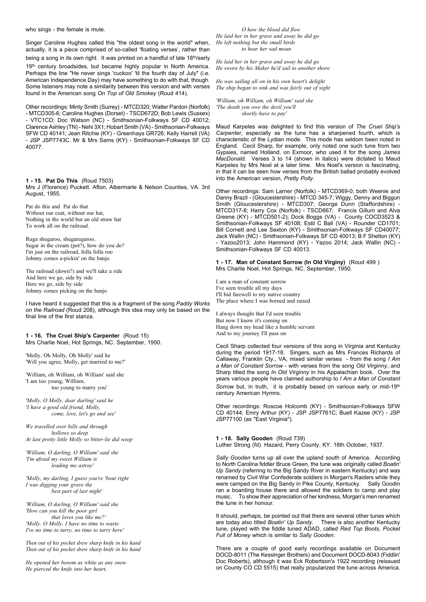who sings - the female is mute.

Singer Caroline Hughes called this "the oldest song in the world" when, actually, it is a piece comprised of so-called 'floating verses', rather than

being a song in its own right. It was printed on a handful of late 18<sup>th</sup>/early 19<sup>th</sup> century broadsides, but became highly popular in North America. Perhaps the line "He never sings 'cuckoo' 'til the fourth day of July" (i.e. American Independence Day) may have something to do with that, though. Some listeners may note a similarity between this version and with verses found in the American song *On Top of Old Smokey* (Roud 414).

Other recordings: Minty Smith (Surrey) - MTCD320; Walter Pardon (Norfolk) - MTCD305-6; Caroline Hughes (Dorset) - TSCD672D; Bob Lewis (Sussex) - VTC1CD; Doc Watson (NC) - Smithsonian-Folkways SF CD 40012; Clarence Ashley (TN) - Nehi 3X1; Hobart Smith (VA) - Smithsonian-Folkways SFW CD 40141; Jean Ritchie (KY) - Greenhays GR726; Kelly Harrell (VA) - JSP JSP7743C. Mr & Mrs Sams (KY) - Smithsonian-Folkways SF CD 40077.

# **1 - 15. Pat Do This** (Roud 7503)

Mrs J (Florence) Puckett. Afton, Albermarle & Nelson Counties, VA. 3rd August, 1955.

Pat do this and Pat do that Without our coat, without our hat, Nothing in the world but an old straw hat To work all on the railroad.

Ruga shugaroo, shugarugaroo, Sugar in the cream (pot?), how do you do? I'm just on the railroad, folla folla roo Johnny comes a-pickin' on the banjo

The railroad (down?) and we'll take a ride And here we go, side by side Here we go, side by side Johnny comes picking on the banjo

I have heard it suggested that this is a fragment of the song *Paddy Works on the Railroad* (Roud 208), although this idea may only be based on the final line of the first stanza.

**1 - 16. The Cruel Ship's Carpenter** (Roud 15) Mrs Charlie Noel, Hot Springs, NC. September, 1950.

'Molly, Oh Molly, Oh Molly' said he 'Will you agree, Molly, get married to me?'

'William, oh William, oh William' said she 'I am too young, William, too young to marry you'

*'Molly, O Molly, dear darling' said he 'I have a good old friend, Molly, come, love, let's go and see'*

*We travelled over hills and through hollows so deep At last pretty little Molly so bitter-lie did weep*

*'William, O darling, O William' said she 'I'm afraid my sweet William is leading me astray'*

*'Molly, my darling, I guess you're 'bout right I was digging your grave the best part of last night'*

*'William, O darling, O William' said she 'How can you kill the poor girl that loves you like me?' 'Molly. O Molly, I have no time to waste I've no time to tarry, no time to tarry here'*

*Then out of his pocket drew sharp knife in his hand Then out of his pocket drew sharp knife in his hand*

*He opened her bosom as white as any snow He pierced the knife into her heart,*

*O how the blood did flow He laid her in her grave and away he did go He left nothing but the small birds to hear her sad moan*

*He laid her in her grave and away he did go He swore by his Maker he'd sail to another shore*

*He was sailing all on in his own heart's delight The ship began to sink and was fairly out of sight*

*'William, oh William, oh William' said she 'The death you owe the devil you'll shortly have to pay'*

Maud Karpeles was delighted to find this version of *The Cruel Ship's Carpenter*, especially as the tune has a sharpened fourth, which is characteristic of the Lydian mode. This mode has seldom been noted in England. Cecil Sharp, for example, only noted one such tune from two Gypsies, named Holland, on Exmoor, who used it for the song *James MacDonald*. Verses 3 to 14 (shown in italics) were dictated to Maud Karpeles by Mrs Noel at a later time. Mrs Noel's version is fascinating, in that it can be seen how verses from the British ballad probably evolved into the American version, *Pretty Polly*.

Other recordings: Sam Larner (Norfolk) - MTCD369-0; both Weenie and Danny Brazil - (Gloucestershire) - MTCD 345-7; Wiggy, Denny and Biggun Smith (Gloucestershire) - MTCD307; George Dunn (Staffordshire) - MTCD317-8; Harry Cox (Norfolk) - TSCD667; Francis Gillum and Alva Greene (KY) - MTCD501-2); Dock Boggs (VA) - County COCD3523 & Smithsonian-Folkways SF 40108; Estil C Ball (VA) - Rounder CD1701; Bill Cornett and Lee Sexton (KY) - Smithsonian-Folkways SF CD40077; Jack Wallin (NC) - Smithsonian-Folkways SF CD 40013; B F Shelton (KY) - Yazoo2013; John Hammond (KY) - Yazoo 2014; Jack Wallin (NC) - Smithsonian-Folkways SF CD 40013.

**1 - 17. Man of Constant Sorrow (In Old Virginy)** (Roud 499 ) Mrs Charlie Noel, Hot Springs, NC. September, 1950.

I am a man of constant sorrow I've seen trouble all my days I'll bid farewell to my native country The place where I was borned and raised

I always thought that I'd seen trouble But now I know it's coming on Hang down my head like a humble servant And to my journey I'll pass on

Cecil Sharp collected four versions of this song in Virginia and Kentucky during the period 1917-18. Singers, such as Mrs Frances Richards of Callaway, Franklin Cty., VA, mixed similar verses - from the song *I Am a Man of Constant Sorrow* - with verses from the song *Old Virginny*, and Sharp titled the song *In Old Virginny* in his Appalachian book. Over the years various people have claimed authorship to *I Am a Man of Constant* Sorrow but, in truth, it is probably based on various early or mid-19<sup>th</sup> century American Hymns.

Other recordings: Roscoe Holcomb (KY) - Smithsonian-Folkways SFW CD 40144; Emry Arthur (KY) - JSP JSP7761C; Buell Kazee (KY) - JSP JSP77100 (as "East Virginia").

**1 - 18. Sally Gooden** (Roud 739) Luther Strong (fd). Hazard, Perry County, KY. 18th October, 1937.

*Sally Gooden* turns up all over the upland south of America. According to North Carolina fiddler Bruce Green, the tune was originally called *Boatin' Up Sandy* (referring to the Big Sandy River in eastern Kentucky) and was renamed by Civil War Confederate soldiers in Morgan's Raiders while they were camped on the Big Sandy in Pike County, Kentucky. Sally Goodin ran a boarding house there and allowed the soldiers to camp and play music. To show their appreciation of her kindness, Morgan's men renamed the tune in her honour.

It should, perhaps, be pointed out that there are several other tunes which are today also titled *Boatin' Up Sandy*. There is also another Kentucky tune, played with the fiddle tuned ADAD, called *Red Top Boots, Pocket Full of Money* which is similar to *Sally Gooden*.

There are a couple of good early recordings available on Document DOCD-8011 (The Kessinger Brothers) and Document DOCD-8043 (Fiddlin' Doc Roberts), although it was Eck Robertson's 1922 recording (reissued on County CO CD 5515) that really popularized the tune across America.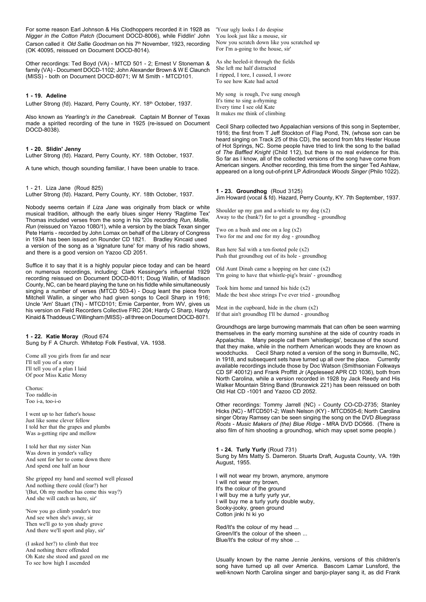For some reason Earl Johnson & His Clodhoppers recorded it in 1928 as *Nigger in the Cotton Patch* (Document DOCD-8006), while Fiddlin' John Carson called it *Old Sallie Goodman* on his 7th November, 1923, recording (OK 40095, reissued on Document DOCD-8014).

Other recordings: Ted Boyd (VA) - MTCD 501 - 2; Ernest V Stoneman & family (VA) - Document DOCD-1102; John Alexander Brown & W E Claunch (MISS) - both on Document DOCD-8071; W M Smith - MTCD101.

# **1 - 19. Adeline**

Luther Strong (fd). Hazard, Perry County, KY. 18th October, 1937.

Also known as *Yearling's in the Canebreak*. Captain M Bonner of Texas made a spirited recording of the tune in 1925 (re-issued on Document DOCD-8038).

#### **1 - 20. Slidin' Jenny**

Luther Strong (fd). Hazard, Perry County, KY. 18th October, 1937.

A tune which, though sounding familiar, I have been unable to trace.

1 - 21. Liza Jane (Roud 825) Luther Strong (fd). Hazard, Perry County, KY. 18th October, 1937.

Nobody seems certain if *Liza Jane* was originally from black or white musical tradition, although the early blues singer Henry 'Ragtime Tex' Thomas included verses from the song in his '20s recording *Run, Mollie, Run* (reissued on Yazoo 1080/1), while a version by the black Texan singer Pete Harris - recorded by John Lomax on behalf of the Library of Congress in 1934 has been issued on Rounder CD 1821. Bradley Kincaid used a version of the song as a 'signature tune' for many of his radio shows, and there is a good version on Yazoo CD 2051.

Suffice it to say that it is a highly popular piece today and can be heard on numerous recordings, including: Clark Kessinger's influential 1929 recording reissued on Document DOCD-8011; Doug Wallin, of Madison County, NC, can be heard playing the tune on his fiddle while simultaneously singing a number of verses (MTCD 503-4) - Doug leant the piece from Mitchell Wallin, a singer who had given songs to Cecil Sharp in 1916; Uncle 'Am' Stuart (TN) - MTCD101; Ernie Carpenter, from WV, gives us his version on Field Recorders Collective FRC 204; Hardy C Sharp, Hardy Kinaid & Thaddeus C Willingham (MISS) - all three on Document DOCD-8071.

**1 - 22. Katie Moray** (Roud 674 Sung by F A Church. Whitetop Folk Festival, VA. 1938.

Come all you girls from far and near I'll tell you of a story I'll tell you of a plan I laid Of poor Miss Katie Moray

Chorus: Too raddle-in Too i-a, too-i-o

I went up to her father's house Just like some clever fellow I told her that the grapes and plumbs Was a-getting ripe and mellow

I told her that my sister Nan Was down in yonder's valley And sent for her to come down there And spend one half an hour

She gripped my hand and seemed well pleased And nothing there could (fear?) her '(But, Oh my mother has come this way?) And she will catch us here, sir'

'Now you go climb yonder's tree And see when she's away, sir Then we'll go to yon shady grove And there we'll sport and play, sir'

(I asked her?) to climb that tree And nothing there offended Oh Kate she stood and gazed on me To see how high I ascended

'Your ugly looks I do despise You look just like a mouse, sir Now you scratch down like you scratched up For I'm a-going to the house, sir'

As she heeled-it through the fields She left me half distracted I ripped, I tore, I cussed, I swore To see how Kate had acted

My song is rough, I've sung enough It's time to sing a-rhyming Every time I see old Kate It makes me think of climbing

Cecil Sharp collected two Appalachian versions of this song in September, 1916; the first from T Jeff Stockton of Flag Pond, TN, (whose son can be heard singing on Track 25 of this CD), the second from Mrs Hester House of Hot Springs, NC. Some people have tried to link the song to the ballad of *The Baffled Knight* (Child 112), but there is no real evidence for this. So far as I know, all of the collected versions of the song have come from American singers. Another recording, this time from the singer Ted Ashlaw, appeared on a long out-of-print LP *Adirondack Woods Singer* (Philo 1022).

# **1 - 23. Groundhog** (Roud 3125)

Jim Howard (vocal & fd). Hazard, Perry County, KY. 7th September, 1937.

Shoulder up my gun and a-whistle to my dog  $(x2)$ Away to the (bank?) for to get a groundhog - groundhog

Two on a bush and one on a log (x2) Two for me and one for my dog - groundhog

Run here Sal with a ten-footed pole (x2) Push that groundhog out of its hole - groundhog

Old Aunt Dinah came a hopping on her cane (x2) 'I'm going to have that whistle-pig's brain' - groundhog

Took him home and tanned his hide (x2) Made the best shoe strings I've ever tried - groundhog

Meat in the cupboard, hide in the churn  $(x2)$ If that ain't groundhog I'll be durned - groundhog

Groundhogs are large burrowing mammals that can often be seen warming themselves in the early morning sunshine at the side of country roads in Appalachia. Many people call them 'whistlepigs', because of the sound that they make, while in the northern American woods they are known as woodchucks. Cecil Sharp noted a version of the song in Burnsville, NC, in 1918, and subsequent sets have turned up all over the place. Currently available recordings include those by Doc Watson (Smithsonian Folkways CD SF 40012) and Frank Proffitt Jr (Appleseed APR CD 1036), both from North Carolina, while a version recorded in 1928 by Jack Reedy and His Walker Mountain String Band (Brunswick 221) has been reissued on both Old Hat CD -1001 and Yazoo CD 2052.

Other recordings: Tommy Jarrell (NC) - County CO-CD-2735; Stanley Hicks (NC) - MTCD501-2; Wash Nelson (KY) - MTCD505-6; North Carolina singer Obray Ramsey can be seen singing the song on the DVD *Bluegrass Roots - Music Makers of (the) Blue Ridge* - MRA DVD DO566. (There is also film of him shooting a groundhog, which may upset some people.)

**1 - 24. Turly Yurly** (Roud 731) Sung by Mrs Matty S. Dameron. Stuarts Draft, Augusta County, VA. 19th August, 1955.

I will not wear my brown, anymore, anymore I will not wear my brown, It's the colour of the ground I will buy me a turly yurly yur, I will buy me a turly yurly double wuby, Sooky-jooky, green ground Cotton jinki hi ki yo

Red/It's the colour of my head ... Green/It's the colour of the sheen ... Blue/It's the colour of my shoe ...

Usually known by the name Jennie Jenkins, versions of this children's song have turned up all over America. Bascom Lamar Lunsford, the well-known North Carolina singer and banjo-player sang it, as did Frank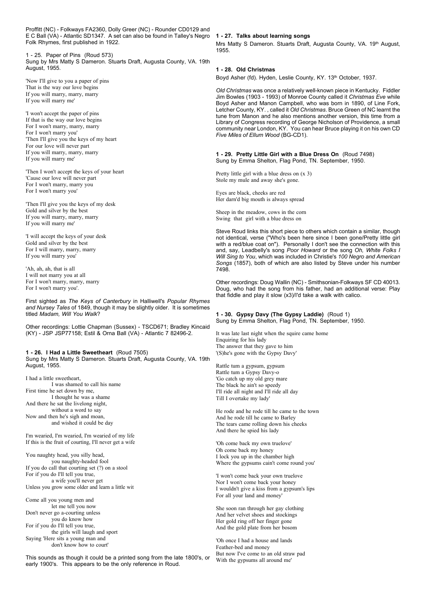Proffitt (NC) - Folkways FA2360, Dolly Greer (NC) - Rounder CD0129 and E C Ball (VA) - Atlantic SD1347. A set can also be found in Talley's Negro Folk Rhymes, first published in 1922.

1 - 25. Paper of Pins (Roud 573) Sung by Mrs Matty S Dameron. Stuarts Draft, Augusta County, VA. 19th August, 1955.

'Now I'll give to you a paper of pins That is the way our love begins If you will marry, marry, marry If you will marry me'

'I won't accept the paper of pins If that is the way our love begins For I won't marry, marry, marry For I won't marry you' 'Then I'll give you the keys of my heart For our love will never part If you will marry, marry, marry If you will marry me'

'Then I won't accept the keys of your heart 'Cause our love will never part For I won't marry, marry you For I won't marry you'

'Then I'll give you the keys of my desk Gold and silver by the best If you will marry, marry, marry If you will marry me'

'I will accept the keys of your desk Gold and silver by the best For I will marry, marry, marry If you will marry you'

'Ah, ah, ah, that is all I will not marry you at all For I won't marry, marry, marry For I won't marry you'.

First sighted as *The Keys of Canterbury* in Halliwell's *Popular Rhymes and Nursey Tales* of 1849, though it may be slightly older. It is sometimes titled *Madam, Will You Walk*?

Other recordings: Lottie Chapman (Sussex) - TSCD671; Bradley Kincaid (KY) - JSP JSP77158; Estil & Orna Ball (VA) - Atlantic 7 82496-2.

**1 - 26. I Had a Little Sweetheart** (Roud 7505) Sung by Mrs Matty S Dameron. Stuarts Draft, Augusta County, VA. 19th August, 1955.

I had a little sweetheart, I was shamed to call his name First time he set down by me, I thought he was a shame And there he sat the livelong night, without a word to say Now and then he's sigh and moan, and wished it could be day

I'm wearied, I'm wearied, I'm wearied of my life If this is the fruit of courting, I'll never get a wife

You naughty head, you silly head, you naughty-headed fool If you do call that courting set (?) on a stool For if you do I'll tell you true, a wife you'll never get Unless you grow some older and learn a little wit

Come all you young men and let me tell you now Don't never go a-courting unless you do know how For if you do I'll tell you true, the girls will laugh and sport Saying 'Here sits a young man and don't know how to court'

This sounds as though it could be a printed song from the late 1800's, or early 1900's. This appears to be the only reference in Roud.

# **1 - 27. Talks about learning songs**

Mrs Matty S Dameron. Stuarts Draft, Augusta County, VA. 19th August, 1955.

# **1 - 28. Old Christmas**

Boyd Asher (fd). Hyden, Leslie County, KY. 13<sup>th</sup> October, 1937.

*Old Christmas* was once a relatively well-known piece in Kentucky. Fiddler Jim Bowles (1903 - 1993) of Monroe County called it *Christmas Eve* while Boyd Asher and Manon Campbell, who was born in 1890, of Line Fork, Letcher County, KY. , called it *Old Christmas*. Bruce Green of NC learnt the tune from Manon and he also mentions another version, this time from a Library of Congress recording of George Nicholson of Providence, a small community near London, KY. You can hear Bruce playing it on his own CD *Five Miles of Ellum Wood* (BG-CD1).

**1 - 29. Pretty Little Girl with a Blue Dress On** (Roud 7498) Sung by Emma Shelton, Flag Pond, TN. September, 1950.

Pretty little girl with a blue dress on (x 3) Stole my mule and away she's gone.

Eyes are black, cheeks are red Her darn'd big mouth is always spread

Sheep in the meadow, cows in the corn Swing that girl with a blue dress on

Steve Roud links this short piece to others which contain a similar, though not identical, verse ("Who's been here since I been gone/Pretty little girl with a red/blue coat on"). Personally I don't see the connection with this and, say, Leadbelly's song *Poor Howard* or the song *Oh, White Folks I Will Sing to You*, which was included in Christie's *100 Negro and American Songs* (1857), both of which are also listed by Steve under his number 7498.

Other recordings: Doug Wallin (NC) - Smithsonian-Folkways SF CD 40013. Doug, who had the song from his father, had an additional verse: Play that fiddle and play it slow (x3)/I'd take a walk with calico.

**1 - 30. Gypsy Davy (The Gypsy Laddie)** (Roud 1) Sung by Emma Shelton, Flag Pond, TN. September, 1950.

It was late last night when the squire came home Enquiring for his lady The answer that they gave to him '(S)he's gone with the Gypsy Davy'

Rattle tum a gypsum, gypsum Rattle tum a Gypsy Davy-o 'Go catch up my old grey mare The black he ain't so speedy I'll ride all night and I'll ride all day Till I overtake my lady'

He rode and he rode till he came to the town And he rode till he came to Barley The tears came rolling down his cheeks And there he spied his lady

'Oh come back my own truelove' Oh come back my honey I lock you up in the chamber high Where the gypsums cain't come round you'

'I won't come back your own truelove Nor I won't come back your honey I wouldn't give a kiss from a gypsum's lips For all your land and money'

She soon ran through her gay clothing And her velvet shoes and stockings Her gold ring off her finger gone And the gold plate from her bosom

'Oh once I had a house and lands Feather-bed and money But now I've come to an old straw pad With the gypsums all around me'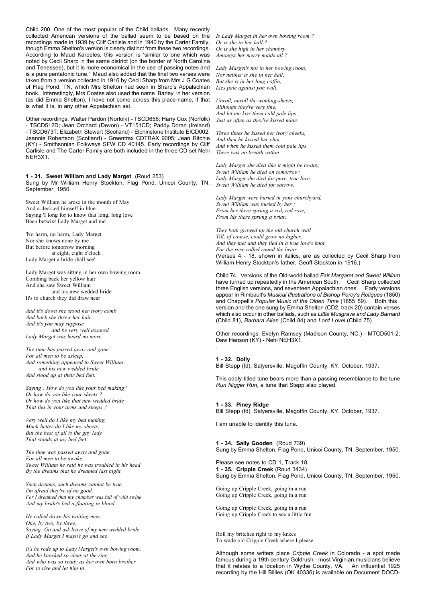Child 200. One of the most popular of the Child ballads. Many recently collected American versions of the ballad seem to be based on the recordings made in 1939 by Cliff Carlisle and in 1940 by the Carter Family, though Emma Shelton's version is clearly distinct from these two recordings. According to Maud Karpeles, this version is 'similar to one which was noted by Cecil Sharp in the same district (on the border of North Carolina and Tenessee), but it is more economical in the use of passing notes and is a pure pentatonic tune.' Maud also added that the final two verses were taken from a version collected in 1916 by Cecil Sharp from Mrs J G Coates of Flag Pond, TN, which Mrs Shelton had seen in Sharp's Appalachian book. Interestingly, Mrs Coates also used the name 'Barley' in her version (as did Emma Shelton). I have not come across this place-name, if that is what it is, in any other Appalachian set.

Other recordings: Walter Pardon (Norfolk) - TSCD656; Harry Cox (Norfolk) - TSCD512D; Jean Orchard (Devon) - VT151CD; Paddy Doran (Ireland) - TSCD673T; Elizabeth Stewart (Scotland) - Elphinstone Institute EICD002; Jeannie Robertson (Scotland) - Greentrax CDTRAX 9005; Jean Ritchie (KY) - Smithsonian Folkways SFW CD 40145. Early recordings by Cliff Carlisle and The Carter Family are both included in the three CD set Nehi NEH3X1.

# **1 - 31. Sweet William and Lady Marget** (Roud 253)

Sung by Mr William Henry Stockton. Flag Pond, Unicoi County, TN. September, 1950.

Sweet William he arose in the month of May And a-deck-ed himself in blue Saying 'I long for to know that long, long love Been betwixt Lady Marget and me'

'No harm, no harm, Lady Marget Nor she knows none by me But before tomorrow morning at eight, eight o'clock Lady Marget a bride shall see'

Lady Marget was sitting in her own bowing room Combing back her yellow hair And she saw Sweet William and his new wedded bride It's to church they did draw near

*And it's down she stood her ivory comb And back she threw her hair. And it's you may suppose and be very well assured Lady Marget was heard no more.*

*The time has passed away and gone For all men to be asleep, And something appeared to Sweet William and his new wedded bride And stood up at their bed feet.*

*Saying : How do you like your bed making? Or how do you like your sheets ? Or how do you like that new wedded bride That lies in your arms and sleeps ?*

*Very well do I like my bed making, Much better do I like my sheets; But the best of all is the gay lady That stands at my bed feet.*

*The time was passed away and gone For all men to be awake. Sweet William he said he was troubled in his head By the dreams that he dreamed last night.*

*Such dreams, such dreams cannot be true, I'm afraid they're of no good, For I dreamed that my chamber was full of wild swine And my bride's bed a-floating in blood.*

*He called down his waiting-men, One, by two, by three, Saying: Go and ask leave of my new wedded bride If Lady Marget I mayn't go and see*

*It's he rode up to Lady Marget's own bowing room, And he knocked so clear at the ring ; And who was so ready as her own born brother For to rise and let him in*

*Is Lady Marget in her own bowing room ? Or is she in her hall ? Or is she high in her chambry Amongst her merry maids all ?*

*Lady Marget's not in her bowing room, Nor neither is she in her hall; But she is in her long coffin, Lies pale against yon wall.*

*Unroll, unroll the winding-sheets, Although they're very fine, And let me kiss them cold pale lips Just as often as they've kissed mine.*

*Three times he kissed her ivory cheeks, And then he kissed her chin, And when he kissed them cold pale lips There was no breath within.*

*Lady Marget she died like it might be to-day, Sweet William he died on tomorrow; Lady Marget she died for pure, true love, Sweet William he died for sorrow.*

*Lady Marget were buried in yons churchyard, Sweet William was buried by her ; From her there sprung a red, red rose, From his there sprung a briar.*

*They both growed up the old church wall Till, of course, could grow no higher, And they met and they tied in a true love's knot, For the rose rolled round the briar.* (Verses 4 - 18, shown in italics, are as collected by Cecil Sharp from William Henry Stockton's father, Geoff Stockton in 1916.)

Child 74. Versions of the Old-world ballad *Fair Margaret and Sweet William* have turned up repeatedly in the American South. Cecil Sharp collected three English versions, and seventeen Appalachian ones. Early versions appear in Rimbault's *Musical Illustrations of Bishop Percy's Reliques* (1850) and Chappell's *Popular Music of the Olden Time* (1855 59). version and the one sung by Emma Shelton (CD2, track 20) contain verses which also occur in other ballads, such as *Little Musgrave and Lady Barnard* (Child 81), *Barbara Allen* (Child 84) and *Lord Lovel* (Child 75).

Other recordings: Evelyn Ramsey (Madison County, NC.) - MTCD501-2; Daw Henson (KY) - Nehi NEH3X1.

**1 - 32. Dolly** Bill Stepp (fd). Salyersville, Magoffin County, KY. October, 1937.

This oddly-titled tune bears more than a passing resemblance to the tune *Run Nigger Run*, a tune that Stepp also played.

**1 - 33. Piney Ridge** Bill Stepp (fd). Salyersville, Magoffin County, KY. October, 1937.

I am unable to identity this tune.

.

**1 - 34. Sally Gooden** (Roud 739) Sung by Emma Shelton. Flag Pond, Unicoi County, TN. September, 1950.

Please see notes to CD 1, Track 18. **1 - 35. Cripple Creek** (Roud 3434) Sung by Emma Shelton. Flag Pond, Unicoi County, TN. September, 1950.

Going up Cripple Creek, going in a run Going up Cripple Creek, going in a run

Going up Cripple Creek, going in a run Going up Cripple Creek to see a little fun

Roll my britches right to my knees To wade old Cripple Creek where I please

Although some writers place *Cripple Creek* in Colorado - a spot made famous during a 19th century Goldrush - most Virginian musicians believe that it relates to a location in Wythe County, VA. An influential 1925 recording by the Hill Billies (OK 40336) is available on Document DOCD-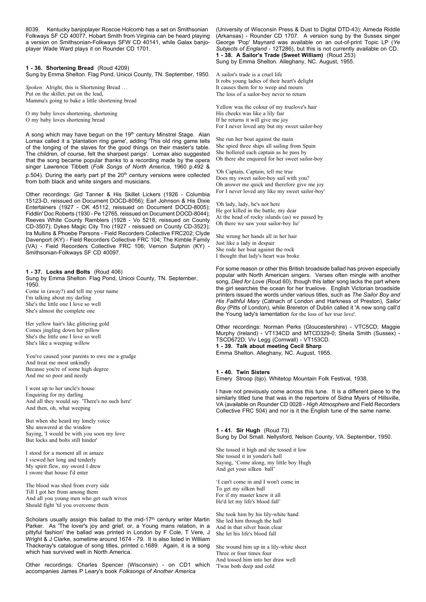8039. Kentucky banjoplayer Roscoe Holcomb has a set on Smithsonian Folkways SF CD 40077, Hobart Smith from Virginia can be heard playing a version on Smithsonian-Folkways SFW CD 40141, while Galax banjoplayer Wade Ward plays it on Rounder CD 1701.

# **1 - 36. Shortening Bread** (Roud 4209)

Sung by Emma Shelton. Flag Pond, Unicoi County, TN. September, 1950.

*Spoken:* Alright, this is Shortening Bread … Put on the skillet, put on the lead, Mamma's going to bake a little shortening bread

O my baby loves shortening, shortening O my baby loves shortening bread

A song which may have begun on the 19th century Minstrel Stage. Alan Lomax called it a 'plantation ring game', adding 'This old ring game tells of the longing of the slaves for the good things on their master's table. The children, of course, felt the sharpest pangs'. Lomax also suggested that the song became popular thanks to a recording made by the opera singer Lawrence Tibbett (*Folk Songs of North America*, 1960 p.492 &  $p.504$ ). During the early part pf the  $20<sup>th</sup>$  century versions were collected from both black and white singers and musicians.

Other recordings: Gid Tanner & His Skillet Lickers (1926 - Columbia 15123-D, reissued on Document DOCD-8056); Earl Johnson & His Dixie Entertainers (1927 - OK 45112, reissued on Document DOCD-8005); Fiddlin' Doc Roberts (1930 - Pe 12765, reissued on Document DOCD-8044); Reeves White County Ramblers (1928 - Vo 5218, reissued on County CD-3507); Dykes Magic City Trio (1927 - reissued on County CD-3523); Ira Mullins & Phoebe Parsons - Field Recorders Collective FRC202; Clyde Davenport (KY) - Field Recorders Collective FRC 104; The Kimble Family (VA) - Field Recorders Collective FRC 106; Vernon Sutphin (KY) - Smithsonian-Folkways SF CD 40097.

#### **1 - 37. Locks and Bolts** (Roud 406)

Sung by Emma Shelton. Flag Pond, Unicoi County, TN. September, 1950. Come in (away?) and tell me your name

I'm talking about my darling She's the little one I love so well She's almost the complete one

Her yellow hair's like glittering gold Comes jingling down her pillow She's the little one I love so well She's like a weeping willow

You've caused your parents to owe me a grudge And treat me most unkindly Because you're of some high degree And me so poor and needy

I went up to her uncle's house Enquiring for my darling And all they would say. 'There's no such here' And then, oh, what weeping

But when she heard my lonely voice She answered at the window Saying, 'I would be with you soon my love But locks and bolts still hinder'

I stood for a moment all in amaze I viewed her long and tenderly My spirit flew, my sword I drew I swore that house I'd enter

The blood was shed from every side Till I got her from among them And all you young men who get such wives Should fight 'til you overcome them

Scholars usually assign this ballad to the mid-17<sup>th</sup> century writer Martin Parker. As 'The lover's joy and grief, or, a Young mans relation, in a pittyful fashion' the ballad was printed in London by F Cole, T Vere, J Wright & J Clarke, sometime around 1674 - 79. It is also listed in William Thackeray's catalogue of song titles, printed c.1689. Again, it is a song which has survived well in North America.

Other recordings: Charles Spencer (Wisconsin) - on CD1 which accompanies James P Leary's book *Folksongs of Another America*

(University of Wisconsin Press & Dust to Digital DTD-43); Almeda Riddle (Arkansas) - Rounder CD 1707. A version sung by the Sussex singer George 'Pop' Maynard was available on an out-of-print Topic LP (*Ye Subjects of England* - 12T286), but this is not currently available on CD. **1 - 38. A Sailor's Trade (Sweet William)** (Roud 253) Sung by Emma Shelton. Alleghany, NC. August, 1955.

A sailor's trade is a cruel life It robs young ladies of their heart's delight It causes them for to weep and mourn The loss of a sailor-boy never to return

Yellow was the colour of my truelove's hair His cheeks was like a lily fair If he returns it will give me joy For I never loved any but my sweet sailor-boy

She run her boat against the main She spied three ships all sailing from Spain She hollered each captain as he pass by Oh there she enquired for her sweet sailor-boy

'Oh Captain, Captain, tell me true Does my sweet sailor-boy sail with you? Oh answer me quick and therefore give me joy For I never loved any like my sweet sailor-boy'

'Oh lady, lady, he's not here He got killed in the battle, my dear At the head of rocky islands (as) we passed by Oh there we saw your sailor-boy lie'

She wrung her hands all in her hair Just like a lady in despair She rode her boat against the rock I thought that lady's heart was broke

For some reason or other this British broadside ballad has proven especially popular with North American singers. Verses often mingle with another song, *Died for Love* (Roud 60), though this latter song lacks the part where the girl searches the ocean for her truelove. English Victorian broadside printers issued the words under various titles, such as *The Sailor Boy and His Faithful Mary* (Catnach of London and Harkness of Preston), *Sailor Boy* (Pitts of London), while Brereton of Dublin called it 'A new song call'd the Young lady's lamentation for the loss of her true love'.

Other recordings: Norman Perks (Gloucestershire) - VTC5CD; Maggie Murphy (Ireland) - VT134CD and MTCD329-0; Sheila Smith (Sussex) - TSCD672D; Viv Legg (Cornwall) - VT153CD. **1 - 39. Talk about meeting Cecil Sharp** Emma Shelton. Alleghany, NC. August, 1955.

# **1 - 40. Twin Sisters**

Emery Stroop (bjo). Whitetop Mountain Folk Festival, 1938.

I have not previously come across this tune. It is a different piece to the similarly titled tune that was in the repertoire of Sidna Myers of Hillsville, VA (available on Rounder CD 0028 - *High Atmosphere* and Field Recorders Collective FRC 504) and nor is it the English tune of the same name.

**1 - 41. Sir Hugh** (Roud 73) Sung by Dol Small. Nellysford, Nelson County, VA. September, 1950.

She tossed it high and she tossed it low She tossed it in yonder's hall Saying, 'Come along, my little boy Hugh And get your silken ball'

'I can't come in and I won't come in To get my silken ball For if my master knew it all He'd let my life's blood fall'

She took him by his lily-white hand She led him through the hall And in that silver basin clear She let his life's blood fall

She wound him up in a lily-white sheet Three or four times four And tossed him into her draw well 'Twas both deep and cold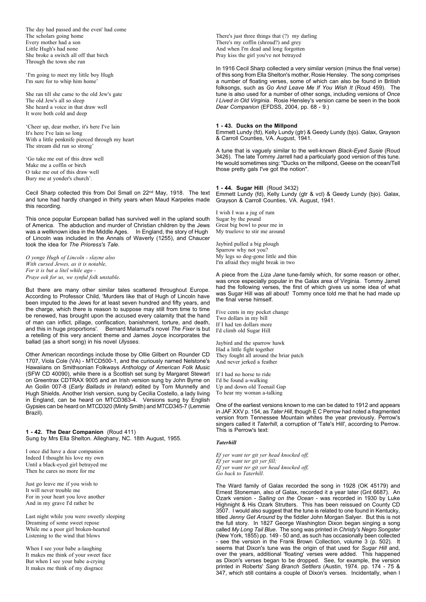The day had passed and the even' had come The scholars going home Every mother had a son Little Hugh's had none She broke a switch all off that birch Through the town she run

'I'm going to meet my little boy Hugh I'm sure for to whip him home'

She ran till she came to the old Jew's gate The old Jew's all so sleep She heard a voice in that draw well It were both cold and deep

'Cheer up, dear mother, it's here I've lain It's here I've lain so long With a little penknife pierced through my heart The stream did run so strong'

'Go take me out of this draw well Make me a coffin or birch O take me out of this draw well Bury me at yonder's church'.

Cecil Sharp collected this from Dol Small on 22nd May, 1918. The text and tune had hardly changed in thirty years when Maud Karpeles made this recording.

This once popular European ballad has survived well in the upland south of America. The abduction and murder of Christian children by the Jews was a wellknown idea in the Middle Ages. In England, the story of Hugh of Lincoln was included in the Annals of Waverly (1255), and Chaucer took the idea for *The Prioress's Tale.*

*O yonge Hugh of Lincoln - slayne also With cursed Jewes, as it is notable, For it is but a litel while ago - Praye eek for us, we synful folk unstable.*

But there are many other similar tales scattered throughout Europe. According to Professor Child, 'Murders like that of Hugh of Lincoln have been imputed to the Jews for at least seven hundred and fifty years, and the charge, which there is reason to suppose may still from time to time be renewed, has brought upon the accused every calamity that the hand of man can inflict, pillage, confiscation, banishment, torture, and death, and this in huge proportions'. Bernard Malamud's novel *The Fixer* is but a retelling of this very ancient theme and James Joyce incorporates the ballad (as a short song) in his novel *Ulysses*.

Other American recordings include those by Ollie Gilbert on Rounder CD 1707, Viola Cole (VA) - MTCD500-1, and the curiously named Nelstone's Hawaiians on Smithsonian Folkways *Anthology of American Folk Music* (SFW CD 40090), while there is a Scottish set sung by Margaret Stewart on Greentrax CDTRAX 9005 and an Irish version sung by John Byrne on An Goilin 007-8 (*Early Ballads in Ireland*) edited by Tom Munnelly and Hugh Shields. Another Irish version, sung by Cecilia Costello, a lady living in England, can be heard on MTCD363-4. Versions sung by English Gypsies can be heard on MTCD320 (Minty Smith) and MTCD345-7 (Lemmie Brazil).

**1 - 42. The Dear Companion** (Roud 411) Sung by Mrs Ella Shelton. Alleghany, NC. 18th August, 1955.

I once did have a dear companion Indeed I thought his love my own Until a black-eyed girl betrayed me Then he cares no more for me

Just go leave me if you wish to It will never trouble me For in your heart you love another And in my grave I'd rather be

Last night while you were sweetly sleeping Dreaming of some sweet repose While me a poor girl broken-hearted Listening to the wind that blows

When I see your babe a-laughing It makes me think of your sweet face But when I see your babe a-crying It makes me think of my disgrace

There's just three things that (?) my darling There's my coffin (shroud?) and grey And when I'm dead and long forgotten Pray kiss the girl you've not betrayed

In 1916 Cecil Sharp collected a very similar version (minus the final verse) of this song from Ella Shelton's mother, Rosie Hensley. The song comprises a number of floating verses, some of which can also be found in British folksongs, such as *Go And Leave Me If You Wish It* (Roud 459). The tune is also used for a number of other songs, including versions of *Once I Lived in Old Virginia*. Rosie Hensley's version came be seen in the book *Dear Companion* (EFDSS, 2004, pp. 68 - 9.)

#### **1 - 43. Ducks on the Millpond**

Emmett Lundy (fd), Kelly Lundy (gtr) & Geedy Lundy (bjo). Galax, Grayson & Carroll Counties, VA. August, 1941.

A tune that is vaguely similar to the well-known *Black-Eyed Susie* (Roud 3426). The late Tommy Jarrell had a particularly good version of this tune. He would sometimes sing: "Ducks on the millpond, Geese on the ocean/Tell those pretty gals I've got the notion".

#### **1 - 44. Sugar Hill** (Roud 3432)

Emmett Lundy (fd), Kelly Lundy (gtr & vcl) & Geedy Lundy (bjo). Galax, Grayson & Carroll Counties, VA. August, 1941.

I wish I was a jug of rum Sugar by the pound Great big bowl to pour me in My truelove to stir me around

Jaybird pulled a big plough Sparrow why not you? My legs so dog-gone little and thin I'm afraid they might break in two

A piece from the *Liza Jane* tune-family which, for some reason or other, was once especially popular in the Galax area of Virginia. Tommy Jarrell had the following verses, the first of which gives us some idea of what was Sugar Hill was all about! Tommy once told me that he had made up the final verse himself.

Five cents in my pocket change Two dollars in my bill If I had ten dollars more I'd climb old Sugar Hill

Jaybird and the sparrow hawk Had a little fight together They fought all around the briar patch And never jerked a feather

If I had no horse to ride I'd be found a-walking Up and down old Toenail Gap To hear my woman a-talking

One of the earliest versions known to me can be dated to 1912 and appears in JAF XXV p. 154, as *Tater Hill*, though E C Perrow had noted a fragmented version from Tennessee Mountain whites the year previously. Perrow's singers called it *Taterhill*, a corruption of 'Tate's Hill', according to Perrow. This is Perrow's text:

#### *Taterhill*

*Ef yer want ter git yer head knocked off, Ef yer want ter git yer fill; Ef yer want ter git yer head knocked off, Go back to Taterhill.*

The Ward family of Galax recorded the song in 1928 (OK 45179) and Ernest Stoneman, also of Galax, recorded it a year later (Gnt 6687). An Ozark version - *Sailing on the Ocean* - was recorded in 1930 by Luke Highnight & His Ozark Strutters. This has been reissued on County CD 3507. I would also suggest that the tune is related to one found in Kentucky, titled *Jenny Get Around* by the fiddler John Morgan Salyer. But this is not the full story. In 1827 George Washington Dixon began singing a song called *My Long Tail Blue*. The song was printed in *Christy's Negro Songster* (New York, 1855) pp. 149 - 50 and, as such has occasionally been collected - see the version in the Frank Brown Collection, volume 3 (p. 502). It seems that Dixon's tune was the origin of that used for *Sugar Hill* and, over the years, additional 'floating' verses were added. This happened as Dixon's verses began to be dropped. See, for example, the version printed in Roberts' *Sang Branch Settlers* (Austin, 1974. pp. 174 - 75 & 347, which still contains a couple of Dixon's verses. Incidentally, when I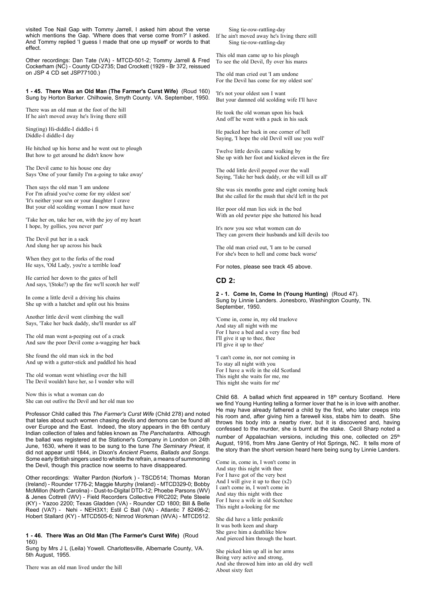visited Toe Nail Gap with Tommy Jarrell, I asked him about the verse which mentions the Gap. 'Where does that verse come from?' I asked. And Tommy replied 'I guess I made that one up myself' or words to that effect.

Other recordings: Dan Tate (VA) - MTCD-501-2; Tommy Jarrell & Fred Cockerham (NC) - County CD-2735; Dad Crockett (1929 - Br 372, reissued on JSP 4 CD set JSP77100.)

#### **1 - 45. There Was an Old Man (The Farmer's Curst Wife)** (Roud 160) Sung by Horton Barker. Chilhowie, Smyth County. VA. September, 1950.

There was an old man at the foot of the hill If he ain't moved away he's living there still

Sing(ing) Hi-diddle-I diddle-i fi Diddle-I diddle-I day

He hitched up his horse and he went out to plough But how to get around he didn't know how

The Devil came to his house one day Says 'One of your family I'm a-going to take away'

Then says the old man 'I am undone For I'm afraid you've come for my oldest son' 'It's neither your son or your daughter I crave But your old scolding woman I now must have

'Take her on, take her on, with the joy of my heart I hope, by gollies, you never part'

The Devil put her in a sack And slung her up across his back

When they got to the forks of the road He says, 'Old Lady, you're a terrible load'

He carried her down to the gates of hell And says, '(Stoke?) up the fire we'll scorch her well'

In come a little devil a driving his chains She up with a hatchet and split out his brains

Another little devil went climbing the wall Says, 'Take her back daddy, she'll murder us all'

The old man went a-peeping out of a crack And saw the poor Devil come a-wagging her back

She found the old man sick in the bed And up with a gutter-stick and paddled his head

The old woman went whistling over the hill The Devil wouldn't have her, so I wonder who will

Now this is what a woman can do She can out outlive the Devil and her old man too

Professor Child called this *The Farmer's Curst Wife* (Child 278) and noted that tales about such women chasing devils and demons can be found all over Europe and the East. Indeed, the story appears in the 6th century Indian collection of tales and fables known as *The Panchatantra*. Although the ballad was registered at the Stationer's Company in London on 24th June, 1630, where it was to be sung to the tune *The Seminary Priest*, it did not appear until 1844, in Dixon's *Ancient Poems, Ballads and Songs*. Some early British singers used to whistle the refrain, a means of summoning the Devil, though this practice now seems to have disappeared.

Other recordings: Walter Pardon (Norfork ) - TSCD514; Thomas Moran (Ireland) - Rounder 1776-2; Maggie Murphy (Ireland) - MTCD329-0; Bobby McMillon (North Carolina) - Dust-to-Digital DTD-12; Phoebe Parsons (WV) & Jenes Cottrell (WV) - Field Recorders Collective FRC202; Pete Steele (KY) - Yazoo 2200; Texas Gladden (VA) - Rounder CD 1800; Bill & Belle Reed (VA?) - Nehi - NEH3X1; Estil C Ball (VA) - Atlantic 7 82496-2; Hobert Stallard (KY) - MTCD505-6; Nimrod Workman (WVA) - MTCD512.

**1 - 46. There Was an Old Man (The Farmer's Curst Wife)** (Roud 160)

Sung by Mrs J L (Leila) Yowell. Charlottesville, Albemarle County, VA. 5th August, 1955.

There was an old man lived under the hill

Sing tie-row-rattling-day If he ain't moved away he's living there still Sing tie-row-rattling-day

This old man came up to his plough To see the old Devil, fly over his mares

The old man cried out 'I am undone For the Devil has come for my oldest son'

'It's not your oldest son I want But your damned old scolding wife I'll have

He took the old woman upon his back And off he went with a pack in his sack

He packed her back in one corner of hell Saying, 'I hope the old Devil will use you well'

Twelve little devils came walking by She up with her foot and kicked eleven in the fire

The odd little devil peeped over the wall Saying, 'Take her back daddy, or she will kill us all'

She was six months gone and eight coming back But she called for the mush that she'd left in the pot

Her poor old man lies sick in the bed With an old pewter pipe she battered his head

It's now you see what women can do They can govern their husbands and kill devils too

The old man cried out, 'I am to be cursed For she's been to hell and come back worse'

For notes, please see track 45 above.

# **CD 2:**

**2 - 1. Come In, Come In (Young Hunting)** (Roud 47). Sung by Linnie Landers. Jonesboro, Washington County, TN. September, 1950.

'Come in, come in, my old truelove And stay all night with me For I have a bed and a very fine bed I'll give it up to thee, thee I'll give it up to thee'

'I can't come in, nor not coming in To stay all night with you For I have a wife in the old Scotland This night she waits for me, me This night she waits for me'

Child 68. A ballad which first appeared in 18<sup>th</sup> century Scotland. Here we find Young Hunting telling a former lover that he is in love with another. He may have already fathered a child by the first, who later creeps into his room and, after giving him a farewell kiss, stabs him to death. She throws his body into a nearby river, but it is discovered and, having confessed to the murder, she is burnt at the stake. Cecil Sharp noted a number of Appalachian versions, including this one, collected on 25<sup>th</sup> August, 1916, from Mrs Jane Gentry of Hot Springs, NC. It tells more of the story than the short version heard here being sung by Linnie Landers.

Come in, come in, I won't come in And stay this night with thee For I have got of the very best And I will give it up to thee  $(x2)$ I can't come in, I won't come in And stay this night with thee For I have a wife in old Scotchee This night a-looking for me

She did have a little penknife It was both keen and sharp She gave him a deathlike blow And pierced him through the heart.

She picked him up all in her arms Being very active and strong, And she throwed him into an old dry well About sixty feet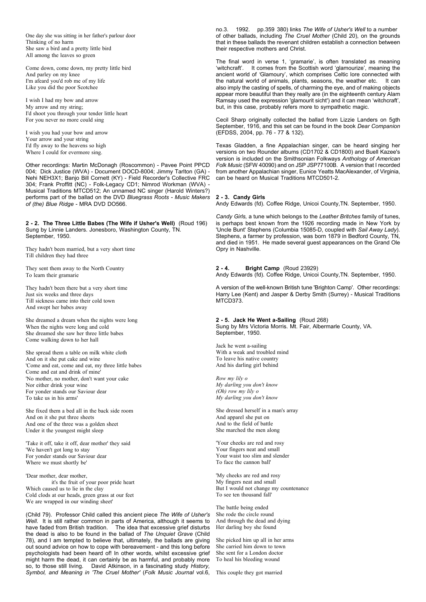One day she was sitting in her father's parlour door Thinking of no harm She saw a bird and a pretty little bird All among the leaves so green

Come down, come down, my pretty little bird And parley on my knee I'm afeard you'd rob me of my life Like you did the poor Scotchee

I wish I had my bow and arrow My arrow and my string; I'd shoot you through your tender little heart For you never no more could sing

I wish you had your bow and arrow Your arrow and your string I'd fly away to the heavens so high Where I could for evermore sing.

Other recordings: Martin McDonagh (Roscommon) - Pavee Point PPCD 004; Dick Justice (WVA) - Document DOCD-8004; Jimmy Tarlton (GA) - Nehi NEH3X1; Banjo Bill Cornett (KY) - Field Recorder's Collective FRC 304; Frank Proffitt (NC) - Folk-Legacy CD1; Nimrod Workman (WVA) - Musical Traditions MTCD512; An unnamed NC singer (Harold Winters?) performs part of the ballad on the DVD *Bluegrass Roots - Music Makers of (the) Blue Ridge* - MRA DVD DO566.

**2 - 2. The Three Little Babes (The Wife if Usher's Well)** (Roud 196) Sung by Linnie Landers. Jonesboro, Washington County, TN. September, 1950.

They hadn't been married, but a very short time Till children they had three

They sent them away to the North Country To learn their gramarie

They hadn't been there but a very short time Just six weeks and three days Till sickness came into their cold town And swept her babes away

She dreamed a dream when the nights were long When the nights were long and cold She dreamed she saw her three little babes Come walking down to her hall

She spread them a table on milk white cloth And on it she put cake and wine 'Come and eat, come and eat, my three little babes Come and eat and drink of mine' 'No mother, no mother, don't want your cake Nor either drink your wine For yonder stands our Saviour dear To take us in his arms'

She fixed them a bed all in the back side room And on it she put three sheets And one of the three was a golden sheet Under it the youngest might sleep

'Take it off, take it off, dear mother' they said 'We haven't got long to stay For yonder stands our Saviour dear Where we must shortly be'

'Dear mother, dear mother, it's the fruit of your poor pride heart Which caused us to lie in the clay Cold clods at our heads, green grass at our feet We are wrapped in our winding sheet'

(Child 79). Professor Child called this ancient piece *The Wife of Usher's Well*. It is still rather common in parts of America, although it seems to have faded from British tradition. The idea that excessive grief disturbs the dead is also to be found in the ballad of *The Unquiet Grave* (Child 78), and I am tempted to believe that, ultimately, the ballads are giving out sound advice on how to cope with bereavement - and this long before psychologists had been heard of! In other words, whilst excessive grief might harm the dead, it can certainly be as harmful, and probably more so, to those still living. David Atkinson, in a fascinating study *History, Symbol, and Meaning in 'The Cruel Mother'* (*Folk Music Journal* vol.6, no.3. 1992. pp.359 380) links *The Wife of Usher's Well* to a number of other ballads, including *The Cruel Mother* (Child 20), on the grounds that in these ballads the revenant children establish a connection between their respective mothers and Christ.

The final word in verse 1, 'gramarie', is often translated as meaning 'witchcraft'. It comes from the Scottish word 'glamourize', meaning the ancient world of *'*Glamoury', which comprises Celtic lore connected with the natural world of animals, plants, seasons, the weather etc. It can also imply the casting of spells, of charming the eye, and of making objects appear more beautiful than they really are (in the eighteenth century Alam Ramsay used the expression 'glamourit sicht') and it can mean 'witchcraft', but, in this case, probably refers more to sympathetic magic.

Cecil Sharp originally collected the ballad from Lizzie Landers on 5gth September, 1916, and this set can be found in the book *Dear Companion* (EFDSS, 2004, pp. 76 - 77 & 132).

Texas Gladden, a fine Appalachian singer, can be heard singing her versions on two Rounder albums (CD1702 & CD1800) and Buell Kazee's version is included on the Smithsonian Folkways *Anthology of American Folk Music* (SFW 40090) and on JSP JSP77100B. A version that I recorded from another Appalachian singer, Eunice Yeatts MacAlexander, of Virginia, can be heard on Musical Traditions MTCD501-2.

# **2 - 3. Candy Girls**

Andy Edwards (fd). Coffee Ridge, Unicoi County,TN. September, 1950.

*Candy Girls,* a tune which belongs to the *Leather Britches* family of tunes, is perhaps best known from the 1926 recording made in New York by 'Uncle Bunt' Stephens (Columbia 15085-D, coupled with *Sail Away Lady*). Stephens, a farmer by profession, was born 1879 in Bedford County, TN, and died in 1951. He made several guest appearances on the Grand Ole Opry in Nashville.

# **2 - 4. Bright Camp** (Roud 23929)

Andy Edwards (fd). Coffee Ridge, Unicoi County,TN. September, 1950.

A version of the well-known British tune 'Brighton Camp'. Other recordings: Harry Lee (Kent) and Jasper & Derby Smith (Surrey) - Musical Traditions MTCD373.

# **2 - 5. Jack He Went a-Sailing** (Roud 268)

Sung by Mrs Victoria Morris. Mt. Fair, Albermarle County, VA. September, 1950.

Jack he went a-sailing With a weak and troubled mind To leave his native country And his darling girl behind

*Row my lily o My darling you don't know (Oh) row my lily o My darling you don't know*

She dressed herself in a man's array And apparel she put on And to the field of battle She marched the men along

'Your cheeks are red and rosy Your fingers neat and small Your waist too slim and slender To face the cannon ball'

'My cheeks are red and rosy My fingers neat and small But I would not change my countenance To see ten thousand fall'

The battle being ended She rode the circle round And through the dead and dying Her darling boy she found

She picked him up all in her arms She carried him down to town She sent for a London doctor To heal his bleeding wound

This couple they got married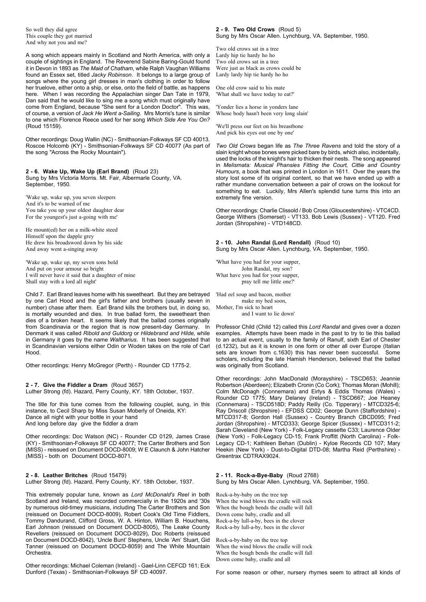So well they did agree This couple they got married And why not you and me?

A song which appears mainly in Scotland and North America, with only a couple of sightings in England. The Reverend Sabine Baring-Gould found it in Devon in 1893 as *The Maid of Chatham*, while Ralph Vaughan Williams found an Essex set, titled *Jacky Robinson*. It belongs to a large group of songs where the young girl dresses in man's clothing in order to follow her truelove, either onto a ship, or else, onto the field of battle, as happens here. When I was recording the Appalachian singer Dan Tate in 1979, Dan said that he would like to sing me a song which must originally have come from England, because "She sent for a London Doctor". This was, of course, a version of *Jack He Went a-Sailing*. Mrs Morris's tune is similar to one which Florence Reece used for her song *Which Side Are You On?* (Roud 15159).

Other recordings: Doug Wallin (NC) - Smithsonian-Folkways SF CD 40013. Roscoe Holcomb (KY) - Smithsonian-Folkways SF CD 40077 (As part of the song "Across the Rocky Mountain").

#### **2 - 6. Wake Up, Wake Up (Earl Brand)** (Roud 23) Sung by Mrs Victoria Morris. Mt. Fair, Albermarle County, VA. September, 1950.

'Wake up, wake up, you seven sleepers And it's to be warned of me You take you up your oldest daughter dear For the youngest's just a-going with me'

He mount(ed) her on a milk-white steed Himself upon the dapple grey He drew his broadsword down by his side And away went a-singing away

'Wake up, wake up, my seven sons bold And put on your armour so bright I will never have it said that a daughter of mine Shall stay with a lord all night'

Child 7. Earl Brand leaves home with his sweetheart. But they are betrayed by one Carl Hood and the girl's father and brothers (usually seven in number) chase after them. Earl Brand kills the brothers but, in doing so, is mortally wounded and dies. In true ballad form, the sweetheart then dies of a broken heart. It seems likely that the ballad comes originally from Scandinavia or the region that is now present-day Germany. In Denmark it was called *Ribold and Guldorg* or *Hildebrand and Hilde,* while in Germany it goes by the name *Waltharius*. It has been suggested that in Scandinavian versions either Odin or Woden takes on the role of Carl Hood.

Other recordings: Henry McGregor (Perth) - Rounder CD 1775-2.

**2 - 7. Give the Fiddler a Dram** (Roud 3657) Luther Strong (fd). Hazard, Perry County, KY. 18th October, 1937.

The title for this tune comes from the following couplet, sung, in this instance, to Cecil Sharp by Miss Susan Moberly of Oneida, KY: Dance all night with your bottle in your hand And long before day give the fiddler a dram

Other recordings: Doc Watson (NC) - Rounder CD 0129, James Crase (KY) - Smithsonian-Folkways SF CD 40077; The Carter Brothers and Son (MISS) - reissued on Document DOCD-8009; W E Claunch & John Hatcher (MISS) - both on Document DOCD-8071.

**2 - 8. Leather Britches** (Roud 15479) Luther Strong (fd). Hazard, Perry County, KY. 18th October, 1937.

This extremely popular tune, known as *Lord McDonald's Reel* in both Scotland and Ireland, was recorded commercially in the 1920s and '30s by numerous old-timey musicians, including The Carter Brothers and Son (reissued on Document DOCD-8009), Robert Cook's Old Time Fiddlers, Tommy Dandurand, Clifford Gross, W. A. Hinton, William B. Houchens, Earl Johnson (reissued on Document DOCD-8005), The Leake County Revellers (reissued on Document DOCD-8029), Doc Roberts (reissued on Document DOCD-8042), 'Uncle Bunt' Stephens, Uncle 'Am' Stuart, Gid Tanner (reissued on Document DOCD-8059) and The White Mountain Orchestra.

Other recordings: Michael Coleman (Ireland) - Gael-Linn CEFCD 161; Eck Dunford (Texas) - Smithsonian-Folkways SF CD 40097.

#### **2 - 9. Two Old Crows** (Roud 5) Sung by Mrs Oscar Allen. Lynchburg, VA. September, 1950.

Two old crows sat in a tree Lardy hip tie hardy ho ho Two old crows sat in a tree Were just as black as crows could be Lardy lardy hip tie hardy ho ho

One old crow said to his mate 'What shall we have today to eat?'

'Yonder lies a horse in yonders lane Whose body hasn't been very long slain'

'We'll press our feet on his breastbone And pick his eyes out one by one'

*Two Old Crows* began life as *The Three Ravens* and told the story of a slain knight whose bones were picked bare by birds, which also, incidentally, used the locks of the knight's hair to thicken their nests. The song appeared in *Melismata: Musical Phansies Fitting the Court, Cittie and Country Humours*, a book that was printed in London in 1611. Over the years the story lost some of its original content, so that we have ended up with a rather mundane conversation between a pair of crows on the lookout for something to eat. Luckily, Mrs Allen's splendid tune turns this into an extremely fine version.

Other recordings: Charlie Clissold / Bob Cross (Gloucestershire) - VTC4CD. George Withers (Somerset) - VT133. Bob Lewis (Sussex) - VT120. Fred Jordan (Shropshire) - VTD148CD.

**2 - 10. John Randal (Lord Rendall)** (Roud 10) Sung by Mrs Oscar Allen. Lynchburg, VA. September, 1950.

'What have you had for your supper, John Randal, my son? What have you had for your supper, pray tell me little one?'

'Had eel soup and bacon, mother make my bed soon, Mother, I'm sick to heart and I want to lie down'

Professor Child (Child 12) called this *Lord Randal* and gives over a dozen examples. Attempts have been made in the past to try to tie this ballad to an actual event, usually to the family of Ranulf, sixth Earl of Chester (d.1232), but as it is known in one form or other all over Europe (Italian sets are known from c.1630) this has never been successful. scholars, including the late Hamish Henderson, believed that the ballad was originally from Scotland.

Other recordings: John MacDonald (Morayshire) - TSCD653; Jeannie Robertson (Aberdeen); Elizabeth Cronin (Co Cork); Thomas Moran (Mohill); Colm McDonagh (Connemara) and Eirlys & Eddis Thomas (Wales) - Rounder CD 1775; Mary Delaney (Ireland) - TSCD667; Joe Heaney (Connemara) - TSCD518D; Paddy Reilly (Co. Tipperary) - MTCD325-6; Ray Driscoll (Shropshire) - EFDSS CD02; George Dunn (Staffordshire) - MTCD317-8; Gordon Hall (Sussex) - Country Branch CBCD095; Fred Jordan (Shropshire) - MTCD333; George Spicer (Sussex) - MTCD311-2; Sarah Cleveland (New York) - Folk-Legacy cassette C33; Laurence Older (New York) - Folk-Legacy CD-15; Frank Proffitt (North Carolina) - Folk-Legacy CD-1; Kathleen Behan (Dublin) - Kyloe Records CD 107; Mary Heekin (New York) - Dust-to-Digital DTD-08; Martha Reid (Perthshire) - Greentrax CDTRAX9024.

#### **2 - 11. Rock-a-Bye-Baby** (Roud 2768) Sung by Mrs Oscar Allen. Lynchburg, VA. September, 1950.

Rock-a-by-baby on the tree top When the wind blows the cradle will rock When the bough bends the cradle will fall Down come baby, cradle and all Rock-a-by lull-a-by, bees in the clover Rock-a-by lull-a-by, bees in the clover

Rock-a-by-baby on the tree top When the wind blows the cradle will rock When the bough bends the cradle will fall Down come baby, cradle and all

For some reason or other, nursery rhymes seem to attract all kinds of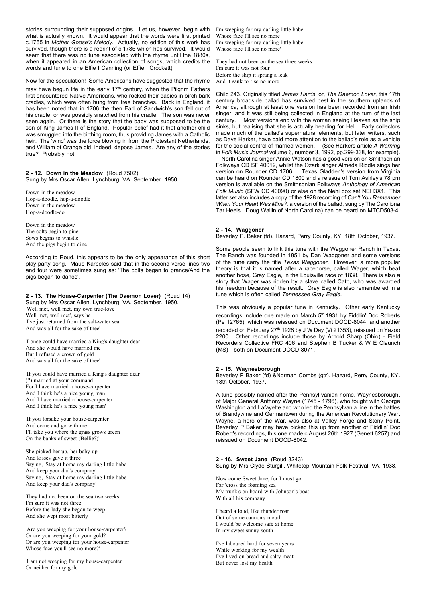stories surrounding their supposed origins. Let us, however, begin with what is actually known. It would appear that the words were first printed c.1765 in *Mother Goose's Melody*. Actually, no edition of this work has survived, though there is a reprint of c.1785 which has survived. It would seem that there was no tune associated with the rhyme until the 1880s, when it appeared in an American collection of songs, which credits the words and tune to one Effie I Canning (or Effie I Crockett).

Now for the speculation! Some Americans have suggested that the rhyme may have begun life in the early 17<sup>th</sup> century, when the Pilgrim Fathers first encountered Native Americans, who rocked their babies in birch-bark cradles, which were often hung from tree branches. Back in England, it has been noted that in 1706 the then Earl of Sandwich's son fell out of his cradle, or was possibly snatched from his cradle. The son was never seen again. Or there is the story that the baby was supposed to be the son of King James II of England. Popular belief had it that another child was smuggled into the birthing room, thus providing James with a Catholic heir. The 'wind' was the force blowing in from the Protestant Netherlands, and William of Orange did, indeed, depose James. Are any of the stories true? Probably not.

#### **2 - 12. Down in the Meadow** (Roud 7502) Sung by Mrs Oscar Allen. Lynchburg, VA. September, 1950.

Down in the meadow Hop-a-doodle, hop-a-doodle Down in the meadow Hop-a-doodle-do

Down in the meadow The colts begin to pine Sows begins to whistle And the pigs begin to dine

According to Roud, this appears to be the only appearance of this short play-party song. Maud Karpeles said that in the second verse lines two and four were sometimes sung as: 'The colts began to prance/And the pigs began to dance'.

# **2 - 13. The House-Carpenter (The Daemon Lover)** (Roud 14)

Sung by Mrs Oscar Allen. Lynchburg, VA. September, 1950. 'Well met, well met, my own true-love Well met, well met', says he 'I've just returned from the salt-water sea And was all for the sake of thee'

'I once could have married a King's daughter dear And she would have married me But I refused a crown of gold And was all for the sake of thee'

'If you could have married a King's daughter dear (?) married at your command For I have married a house-carpenter And I think he's a nice young man And I have married a house-carpenter And I think he's a nice young man'

'If you forsake your house-carpenter And come and go with me I'll take you where the grass grows green On the banks of sweet (Bellie?)'

She picked her up, her baby up And kisses gave it three Saying, 'Stay at home my darling little babe And keep your dad's company' Saying, 'Stay at home my darling little babe And keep your dad's company'

They had not been on the sea two weeks I'm sure it was not three Before the lady she began to weep And she wept most bitterly

'Are you weeping for your house-carpenter? Or are you weeping for your gold? Or are you weeping for your house-carpenter Whose face you'll see no more?'

'I am not weeping for my house-carpenter Or neither for my gold

I'm weeping for my darling little babe Whose face I'll see no more I'm weeping for my darling little babe Whose face I'll see no more'

They had not been on the sea three weeks I'm sure it was not four Before the ship it sprang a leak And it sank to rise no more

Child 243. Originally titled *James Harris*, or, *The Daemon Lover*, this 17th century broadside ballad has survived best in the southern uplands of America, although at least one version has been recorded from an Irish singer, and it was still being collected in England at the turn of the last century. Most versions end with the woman seeing Heaven as the ship sinks, but realising that she is actually heading for Hell. Early collectors made much of the ballad's supernatural elements, but later writers, such as Dave Harker, have paid more attention to the ballad's role as a vehicle for the social control of married women. (See Harkers article *A Warning* in *Folk Music Journal* volume 6, number 3, 1992, pp.299-338, for example).

 North Carolina singer Annie Watson has a good version on Smithsonian Folkways CD SF 40012, whilst the Ozark singer Almeda Riddle sings her version on Rounder CD 1706. Texas Gladden's version from Virginia can be heard on Rounder CD 1800 and a reissue of Tom Ashley's 78rpm version is available on the Smithsonian Folkways *Anthology of American Folk Music* (SFW CD 40090) or else on the Nehi box set NEH3X1. This latter set also includes a copy of the 1928 recording of *Can't You Remember When Your Heart Was Mine?,* a version of the ballad, sung by The Caroliona Tar Heels. Doug Wallin of North Carolina) can be heard on MTCD503-4.

# **2 - 14. Waggoner**

Beverley P. Baker (fd). Hazard, Perry County, KY. 18th October, 1937.

Some people seem to link this tune with the Waggoner Ranch in Texas. The Ranch was founded in 1851 by Dan Waggoner and some versions of the tune carry the title *Texas Waggoner*. However, a more popular theory is that it is named after a racehorse, called Wager, which beat another hose, Gray Eagle, in the Louisville race of 1838. There is also a story that Wager was ridden by a slave called Cato, who was awarded his freedom because of the result. Gray Eagle is also remembered in a tune which is often called *Tennessee Gray Eagle.*

This was obviously a popular tune in Kentucky. Other early Kentucky recordings include one made on March 5th 1931 by Fiddlin' Doc Roberts (Pe 12765), which was reissued on Document DOCD-8044, and another recorded on February 27<sup>th</sup> 1928 by J W Day (Vi 21353), reissued on Yazoo 2200. Other recordings include those by Arnold Sharp (Ohio) - Field Recorders Collective FRC 406 and Stephen B Tucker & W E Claunch (MS) - both on Document DOCD-8071.

# **2 - 15. Waynesborough**

Beverley P Baker (fd) &Norman Combs (gtr). Hazard, Perry County, KY. 18th October, 1937.

A tune possibly named after the Pennsyl-vanian home, Waynesborough, of Major General Anthony Wayne (1745 - 1796), who fought with George Washington and Lafayette and who led the Pennsylvania line in the battles of Brandywine and Germantown during the American Revolutionary War. Wayne, a hero of the War, was also at Valley Forge and Stony Point. Beverley P Baker may have picked this up from another of Fiddlin' Doc Robert's recordings, this one made c.August 26th 1927 (Genett 6257) and reissued on Document DOCD-8042.

**2 - 16. Sweet Jane** (Roud 3243) Sung by Mrs Clyde Sturgill. Whitetop Mountain Folk Festival, VA. 1938.

Now come Sweet Jane, for I must go Far 'cross the foaming sea My trunk's on board with Johnson's boat With all his company

I heard a loud, like thunder roar Out of some cannon's mouth I would be welcome safe at home In my sweet sunny south

I've laboured hard for seven years While working for my wealth I've lived on bread and salty meat But never lost my health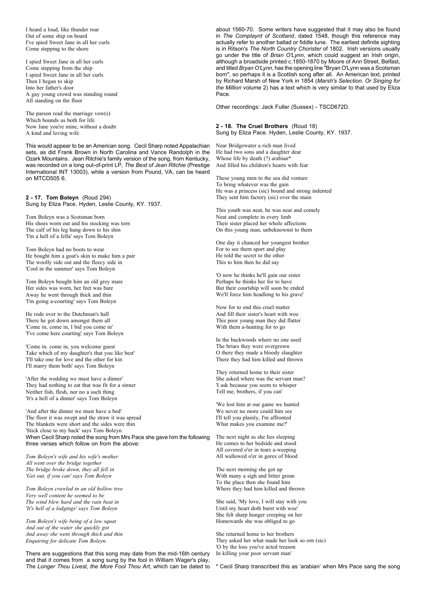I heard a loud, like thunder roar Out of some ship on board I've spied Sweet Jane in all her curls Come stepping to the shore

I spied Sweet Jane in all her curls Come stepping from the ship I spied Sweet Jane in all her curls Then I began to skip Into her father's door A gay young crowd was standing round All standing on the floor

The parson read the marriage vow(s) Which bounds us both for life Now Jane you're mine, without a doubt A kind and loving wife

This would appear to be an American song. Cecil Sharp noted Appalachian sets, as did Frank Brown in North Carolina and Vance Randolph in the Ozark Mountains. Jean Ritchie's family version of the song, from Kentucky, was recorded on a long out-of-print LP, *The Best of Jean Ritchie* (Prestige International INT 13003), while a version from Pound, VA, can be heard on MTCD505 6.

**2 - 17. Tom Boleyn** (Roud 294) Sung by Eliza Pace. Hyden, Leslie County, KY. 1937.

Tom Boleyn was a Scotsman born His shoes worn out and his stocking was torn The calf of his leg hung down to his shin 'I'm a hell of a fella' says Tom Boleyn

Tom Boleyn had no boots to wear He bought him a goat's skin to make him a pair The woolly side out and the fleecy side in 'Cool in the summer' says Tom Boleyn

Tom Boleyn bought him an old grey mare Her sides was worn, her feet was bare Away he went through thick and thin 'I'm going a-courting' says Tom Boleyn

He rode over to the Dutchman's hall There he got down amongst them all 'Come in, come in, I bid you come in' 'I've come here courting' says Tom Boleyn

'Come in. come in, you welcome guest Take which of my daughter's that you like best' 'I'll take one for love and the other for kin I'll marry them both' says Tom Boleyn

'After the wedding we must have a dinner' They had nothing to eat that was fit for a sinner Neither fish, flesh, nor no a such thing 'It's a hell of a dinner' says Tom Boleyn

'And after the dinner we must have a bed' The floor it was swept and the straw it was spread The blankets were short and the sides were thin 'Stick close to my back' says Tom Boleyn When Cecil Sharp noted the song from Mrs Pace she gave him the following three verses which follow on from the above:

*Tom Boleyn's wife and his wife's mother All went over the bridge together The bridge broke down, they all fell in 'Get out, if you can' says Tom Boleyn*

*Tom Boleyn crawled in an old hollow tree Very well content he seemed to be The wind blew hard and the rain beat in 'It's hell of a lodgings' says Tom Boleyn*

*Tom Boleyn's wife being of a low squat And out of the water she quickly got And away she went through thick and thin Enquiring for delicate Tom Boleyn.*

There are suggestions that this song may date from the mid-16th century and that it comes from a song sung by the fool in William Wager's play, *The Longer Thou Livest, the More Fool Thou Art*, which can be dated to about 1560-70. Some writers have suggested that it may also be found in *The Complaynt of Scotland*, dated 1548, though this reference may actually refer to another ballad or fiddle tune. The earliest definite sighting is in Ritson's *The North Country Chorister* of 1802. Irish versions usually go under the title of *Brian O'Lynn*, which could suggest an Irish origin, although a broadside printed c.1850-1870 by Moore of Ann Street, Belfast, and titled *Bryan O'Lynn*, has the opening line "Bryan O'Lynn was a Scotsman born", so perhaps it is a Scottish song after all. An American text, printed by Richard Marsh of New York in 1854 (*Marsh's Selection. Or Singing for the Million* volume 2) has a text which is very similar to that used by Eliza Pace.

Other recordings: Jack Fuller (Sussex) - TSCD672D.

**2 - 18. The Cruel Brothers** (Roud 18) Sung by Eliza Pace. Hyden, Leslie County, KY. 1937.

Near Bridgewater a rich man lived He had two sons and a daughter dear Whose life by death (?) arabian\* And filled his children's hearts with fear

These young men to the sea did venture To bring whatever was the gain He was a princess (sic) bound and strong indented They sent him factory (sic) over the main

This youth was neat, he was neat and comely Neat and complete in every limb Their sister placed her whole affections On this young man, unbeknownst to them

One day it chanced her youngest brother For to see them sport and play He told the secret to the other This to him then he did say

'O now he thinks he'll gain our sister Perhaps he thinks her for to have But their courtship will soon be ended We'll force him headlong to his grave'

Now for to end this cruel matter And fill their sister's heart with woe This poor young man they did flatter With them a-hunting for to go

In the backwoods where no one used The briars they were overgrown O there they made a bloody slaughter There they had him killed and thrown

They returned home to their sister She asked where was the servant man? 'I ask because you seem to whisper Tell me, brothers, if you can'

'We lost him at our game we hunted We never no more could him see I'll tell you plainly, I'm affronted What makes you examine me?'

The next night as she lies sleeping He comes to her bedside and stood All covered o'er in tears a-weeping All wallowed o'er in gores of blood

The next morning she got up With many a sigh and bitter groan To the place then she found him Where they had him killed and thrown

She said, 'My love, I will stay with you Until my heart doth burst with woe' She felt sharp hunger creeping on her Homewards she was obliged to go

She returned home to her brothers They asked her what made her look so orn (sic) 'O by the loss you've acted treason In killing your poor servant man'

\* Cecil Sharp transcribed this as 'arabian' when Mrs Pace sang the song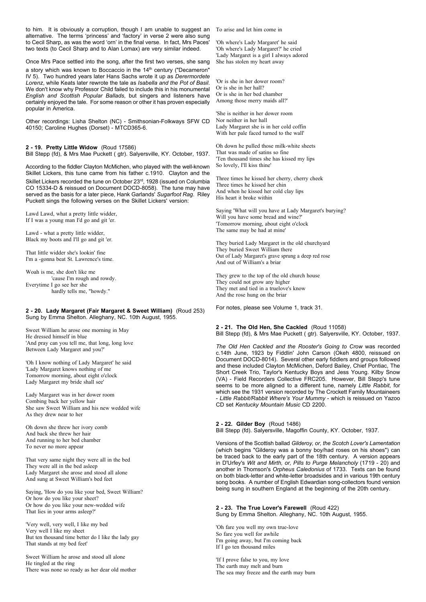to him. It is obviously a corruption, though I am unable to suggest an To arise and let him come in alternative. The terms 'princess' and 'factory' in verse 2 were also sung to Cecil Sharp, as was the word 'orn' in the final verse. In fact, Mrs Paces' two texts (to Cecil Sharp and to Alan Lomax) are very similar indeed.

Once Mrs Pace settled into the song, after the first two verses, she sang a story which was known to Boccaccio in the 14<sup>th</sup> century ("Decameron" IV 5). Two hundred years later Hans Sachs wrote it up as *Derermordete Lorenz*, while Keats later rewrote the tale as *Isabella and the Pot of Basil*. We don't know why Professor Child failed to include this in his monumental *English and Scottish Popular Ballads*, but singers and listeners have certainly enjoyed the tale. For some reason or other it has proven especially popular in America.

Other recordings: Lisha Shelton (NC) - Smithsonian-Folkways SFW CD 40150; Caroline Hughes (Dorset) - MTCD365-6.

# **2 - 19. Pretty Little Widow** (Roud 17586)

Bill Stepp (fd), & Mrs Mae Puckett ( gtr). Salyersville, KY. October, 1937.

According to the fiddler Clayton McMichen, who played with the well-known Skillet Lickers, this tune came from his father c.1910. Clayton and the Skillet Lickers recorded the tune on October 23rd, 1928 (issued on Columbia CO 15334-D & reissued on Document DOCD-8058). The tune may have served as the basis for a later piece, Hank Garlands' *Sugarfoot Rag*. Riley Puckett sings the following verses on the Skillet Lickers' version:

Lawd Lawd, what a pretty little widder, If I was a young man I'd go and git 'er.

Lawd - what a pretty little widder, Black my boots and I'll go and git 'er.

That little widder she's lookin' fine I'm a -gonna beat St. Lawrence's time.

Woah is me, she don't like me 'cause I'm rough and rowdy. Everytime I go see her she hardly tells me, "howdy."

#### **2 - 20. Lady Margaret (Fair Margaret & Sweet William)** (Roud 253) Sung by Emma Shelton. Alleghany, NC. 10th August, 1955.

Sweet William he arose one morning in May He dressed himself in blue 'And pray can you tell me, that long, long love Between Lady Margaret and you?'

'Oh I know nothing of Lady Margaret' he said 'Lady Margaret knows nothing of me Tomorrow morning, about eight o'clock Lady Margaret my bride shall see'

Lady Margaret was in her dower room Combing back her yellow hair She saw Sweet William and his new wedded wife As they drew near to her

Oh down she threw her ivory comb And back she threw her hair And running to her bed chamber To never no more appear

That very same night they were all in the bed They were all in the bed asleep Lady Margaret she arose and stood all alone And sung at Sweet William's bed feet

Saying, 'How do you like your bed, Sweet William? Or how do you like your sheet? Or how do you like your new-wedded wife That lies in your arms asleep?'

'Very well, very well, I like my bed Very well I like my sheet But ten thousand time better do I like the lady gay That stands at my bed feet'

Sweet William he arose and stood all alone He tingled at the ring There was none so ready as her dear old mother

'Oh where's Lady Margaret' he said 'Oh where's Lady Margaret?' he cried 'Lady Margaret is a girl I always adored She has stolen my heart away

'Or is she in her dower room? Or is she in her hall? Or is she in her bed chamber Among those merry maids all?'

'She is neither in her dower room Nor neither in her hall Lady Margaret she is in her cold coffin With her pale faced turned to the wall'

Oh down he pulled those milk-white sheets That was made of satins so fine 'Ten thousand times she has kissed my lips So lovely, I'll kiss thine'

Three times he kissed her cherry, cherry cheek Three times he kissed her chin And when he kissed her cold clay lips His heart it broke within

Saying 'What will you have at Lady Margaret's burying? Will you have some bread and wine?' 'Tomorrow morning, about eight o'clock The same may be had at mine'

They buried Lady Margaret in the old churchyard They buried Sweet William there Out of Lady Margaret's grave sprung a deep red rose And out of William's a briar

They grew to the top of the old church house They could not grow any higher They met and tied in a truelove's know And the rose hung on the briar

For notes, please see Volume 1, track 31.

**2 - 21. The Old Hen, She Cackled** (Roud 11058) Bill Stepp (fd), & Mrs Mae Puckett ( gtr). Salyersville, KY. October, 1937.

*The Old Hen Cackled and the Rooster's Going to Crow* was recorded c.14th June, 1923 by Fiddlin' John Carson (Okeh 4800, reissued on Document DOCD-8014). Several other early fiddlers and groups followed and these included Clayton McMichen, Deford Bailey, Chief Pontiac, The Short Creek Trio, Taylor's Kentucky Boys and Jess Young. Kilby Snow (VA) - Field Recorders Collective FRC205. However, Bill Stepp's tune seems to be more aligned to a different tune, namely *Little Rabbit*, for which see the 1931 version recorded by The Crockett Family Mountaineers - *Little Rabbit/Rabbit Where's Your Mummy* - which is reissued on Yazoo CD set *Kentucky Mountain Music* CD 2200.

# **2 - 22. Gilder Boy** (Roud 1486)

Bill Stepp (fd). Salyersville, Magoffin County, KY. October, 1937.

Versions of the Scottish ballad *Gilderoy, or, the Scotch Lover's Lamentation* (which begins "Gilderoy was a bonny boy/had roses on his shoes") can be traced back to the early part of the 18th century. A version appears in D'Urfey's *Wit and Mirth, or, Pills to Purge Melancholy* (1719 - 20) and another in Thomson's *Orpheus Caledonius* of 1733. Texts can be found on both black-letter and white-letter broadsides and in various 19th century song books. A number of English Edwardian song-collectors found version being sung in southern England at the beginning of the 20th century.

**2 - 23. The True Lover's Farewell** (Roud 422) Sung by Emma Shelton. Alleghany, NC. 10th August, 1955.

'Oh fare you well my own true-love So fare you well for awhile I'm going away, but I'm coming back If I go ten thousand miles

'If I prove false to you, my love The earth may melt and burn The sea may freeze and the earth may burn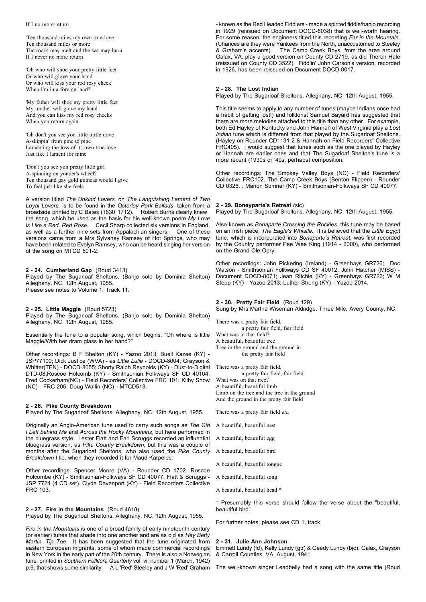#### If I no more return

'Ten thousand miles my own true-love Ten thousand miles or more The rocks may melt and the sea may burn If I never no more return

'Oh who will shoe your pretty little feet Or who will glove your hand Or who will kiss your red rosy cheek When I'm in a foreign land?'

'My father will shoe my pretty little feet My mother will glove my hand And you can kiss my red rosy cheeks When you return again'

'Oh don't you see yon little turtle dove A-skippin' from pine to pine Lamenting the loss of its own true-love Just like I lament for mine

'Don't you see yon pretty little girl A-spinning on yonder's wheel? Ten thousand gay gold guineas would I give To feel just like she feels'

A version titled *The Unkind Lovers, or, The Languishing Lament of Two Loyal Lovers,* is to be found in the *Osterley Park Ballads*, taken from a broadside printed by C Bates (1630 1712). the song, which he used as the basis for his well-known poem *My Love is Like a Red, Red Rose*. Cecil Sharp collected six versions in England, as well as a further nine sets from Appalachian singers. One of these versions came from a Mrs Sylvaney Ramsey of Hot Springs, who may have been related to Evelyn Ramsey, who can be heard singing her version of the song on MTCD 501-2.

#### **2 - 24. Cumberland Gap** (Roud 3413)

Played by The Sugarloaf Sheltons. (Banjo solo by Dominia Shelton) Alleghany, NC. 12th August, 1955. Please see notes to Volume 1, Track 11.

**2 - 25. Little Maggie** (Roud 5723) Played by The Sugarloaf Sheltons. (Banjo solo by Dominia Shelton) Alleghany, NC. 12th August, 1955.

Essentially the tune to a popular song, which begins: "Oh where is little Maggie/With her dram glass in her hand?"

Other recordings: B F Shelton (KY) - Yazoo 2013; Buell Kazee (KY) - JSP77100; Dick Justice (WVA) - as *Little Lulie* - DOCD-8004; Grayson & Whitter(TEN) - DOCD-8055; Shorty Ralph Reynolds (KY) - Dust-to-Digital DTD-08;Roscoe Holcomb (KY) - Smithsonian Folkways SF CD 40104; Fred Cockerham(NC) - Field Recorders' Collective FRC 101; Kilby Snow (NC) - FRC 205; Doug Wallin (NC) - MTCD513.

#### **2 - 26. Pike County Breakdown**

Played by The Sugarloaf Sheltons. Alleghany, NC. 12th August, 1955.

Originally an Anglo-American tune used to carry such songs as *The Girl I Left behind Me* and *Across the Rocky Mountains*, but here performed in the bluegrass style. Lester Flatt and Earl Scruggs recorded an influential bluegrass version, as *Pike County Breakdown*, but this was a couple of months after the Sugarloaf Sheltons, who also used the *Pike County Breakdown* title, when they recorded it for Maud Karpeles.

Other recordings: Spencer Moore (VA) - Rounder CD 1702. Roscoe Holcombe (KY) - Smithsonian-Folkways SF CD 40077. Flatt & Scruggs - JSP 7724 (4 CD set). Clyde Davenport (KY) - Field Recorders Collective FRC 103.

#### **2 - 27. Fire in the Mountains** (Roud 4618)

Played by The Sugarloaf Sheltons. Alleghany, NC. 12th August, 1955.

*Fire in the Mountains* is one of a broad family of early nineteenth century (or earlier) tunes that shade into one another and are as old as *Hey Betty Martin, Tip Toe*. It has been suggested that the tune originated from eastern European migrants, some of whom made commercial recordings in New York in the early part of the 20th century. There is also a Norwegian tune, printed in *Southern Folklore Quarterly* vol. vi, number 1 (March, 1942) p.9, that shows some similarity. A L 'Red' Steeley and J W 'Red' Graham

- known as the Red Headed Fiddlers - made a spirited fiddle/banjo recording in 1929 (reissued on Document DOCD-8038) that is well-worth hearing. For some reason, the engineers titled this recording *Far in the Mountain*. (Chances are they were Yankees from the North, unaccustomed to Steeley & Graham's accents). The Camp Creek Boys, from the area around Galax, VA, play a good version on County CD 2719, as did Theron Hale (reissued on County CD 3522). Fiddlin' John Carson's version, recorded in 1926, has been reissued on Document DOCD-8017.

# **2 - 28. The Lost Indian**

Played by The Sugarloaf Sheltons. Alleghany, NC. 12th August, 1955.

This title seems to apply to any number of tunes (maybe Indians once had a habit of getting lost!) and folklorist Samuel Bayard has suggested that there are more melodies attached to this title than any other. For example, both Ed Hayley of Kentucky and John Hannah of West Virginia play a *Lost Indian* tune which is different from that played by the Sugarloaf Sheltons. (Hayley on Rounder CD1131-2 & Hannah on Field Recorders' Collective FRC405). I would suggest that tunes such as the one played by Hayley or Hannah are earlier ones and that The Sugarloaf Shelton's tune is a more recent (1930s or '40s, perhaps) composition.

Other recordings: The Smokey Valley Boys (NC) - Field Recorders' Collective FRC102. The Camp Creek Boys (Benton Flippen) - Rounder CD 0326. . Marion Sumner (KY) - Smithsonian-Folkways SF CD 40077.

# **2 - 29. Boneyparte's Retreat** (sic)

Played by The Sugarloaf Sheltons. Alleghany, NC. 12th August, 1955.

Also known as *Bonaparte Crossing the Rockies*, this tune may be based on an Irish piece, *The Eagle's Whistle*. It is believed that the *Little Egypt* tune, which is incorporated into *Bonaparte's Retreat*, was first recorded by the Country performer Pee Wee King (1914 - 2000), who performed on the Grand Ole Opry.

Other recordings: John Pickering (Ireland) - Greenhays GR726; Doc Watson - Smithsonian Folkways CD SF 40012. John Hatcher (MISS) - Document DOCD-8071; Jean Ritchie (KY) - Greenhays GR726; W M Stepp (KY) - Yazoo 2013; Luther Strong (KY) - Yazoo 2014.

#### **2 - 30. Pretty Fair Field** (Roud 129)

Sung by Mrs Martha Wiseman Aldridge. Three Mile, Avery County, NC.

There was a pretty fair field, a pretty fair field, fair field What was in that field? A beautiful, beautiful tree Tree in the ground and the ground in the pretty fair field

There was a pretty fair field, a pretty fair field, fair field What was on that tree? A beautiful, beautiful limb Limb on the tree and the tree in the ground And the ground in the pretty fair field

There was a pretty fair field *etc.*

- A beautiful, beautiful nest
- A beautiful, beautiful egg
- A beautiful, beautiful bird
- A beautiful, beautiful tongue
- A beautiful, beautiful song
- A beautiful, beautiful head \*

\* Presumably this verse should follow the verse about the "beautiful, beautiful bird"

For further notes, please see CD 1, track

#### **2 - 31. Julie Ann Johnson**

Emmett Lundy (fd), Kelly Lundy (gtr) & Geedy Lundy (bjo). Galax, Grayson & Carroll Counties, VA. August, 1941.

The well-known singer Leadbelly had a song with the same title (Roud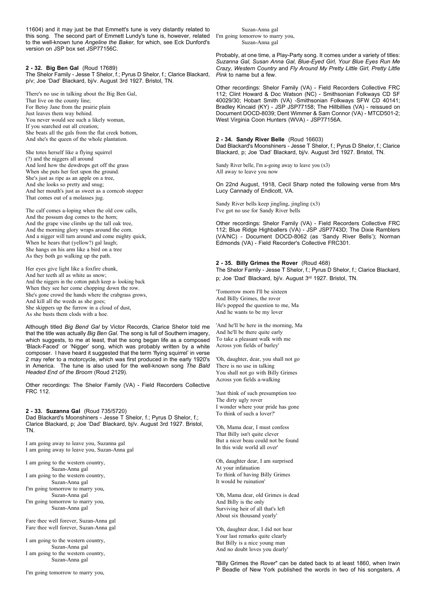11604) and it may just be that Emmett's tune is very distantly related to this song. The second part of Emmett Lundy's tune is, however, related to the well-known tune *Angeline the Baker,* for which, see Eck Dunford's version on JSP box set JSP77156C.

# **2 - 32. Big Ben Gal** (Roud 17689)

The Shelor Family - Jesse T Shelor, f.; Pyrus D Shelor, f.; Clarice Blackard, p/v; Joe 'Dad' Blackard, bj/v. August 3rd 1927. Bristol, TN.

There's no use in talking about the Big Ben Gal, That live on the county line; For Betsy Jane from the prairie plain Just leaves them way behind. You never would see such a likely woman, If you searched out all creation; She beats all the gals from the flat creek bottom, And she's the queen of the whole plantation.

She totes herself like a flying squirrel (?) and the niggers all around And lord how the dewdrops get off the grass When she puts her feet upon the ground. She's just as ripe as an apple on a tree, And she looks so pretty and snug; And her mouth's just as sweet as a corncob stopper That comes out of a molasses jug.

The calf comes a-loping when the old cow calls, And the possum dog comes to the horn; And the grape vine climbs up the tall oak tree, And the morning glory wraps around the corn. And a nigger will turn around and come mighty quick, When he hears that (yellow?) gal laugh; She hangs on his arm like a bird on a tree As they both go walking up the path.

Her eyes give light like a foxfire chunk, And her teeth all as white as snow; And the niggers in the cotton patch keep a- looking back When they see her come chopping down the row. She's gone crowd the hands where the crabgrass grows, And kill all the weeds as she goes; She skippers up the furrow in a cloud of dust, As she busts them clods with a hoe.

Although titled *Big Bend Gal* by Victor Records, Clarice Shelor told me that the title was actually *Big Ben Gal*. The song is full of Southern imagery, which suggests, to me at least, that the song began life as a composed 'Black-Faced' or 'Nigger' song, which was probably written by a white composer. I have heard it suggested that the term 'flying squirrel' in verse 2 may refer to a motorcycle, which was first produced in the early 1920's in America. The tune is also used for the well-known song *The Bald Headed End of the Broom* (Roud 2129).

Other recordings: The Shelor Family (VA) - Field Recorders Collective FRC 112.

#### **2 - 33. Suzanna Gal** (Roud 735/5720)

Dad Blackard's Moonshiners - Jesse T Shelor, f.; Pyrus D Shelor, f.; Clarice Blackard, p; Joe 'Dad' Blackard, bj/v. August 3rd 1927. Bristol, TN.

I am going away to leave you, Suzanna gal I am going away to leave you, Suzan-Anna gal

I am going to the western country, Suzan-Anna gal I am going to the western country,

Suzan-Anna gal

I'm going tomorrow to marry you, Suzan-Anna gal

I'm going tomorrow to marry you, Suzan-Anna gal

Fare thee well forever, Suzan-Anna gal Fare thee well forever, Suzan-Anna gal

I am going to the western country, Suzan-Anna gal I am going to the western country, Suzan-Anna gal

I'm going tomorrow to marry you,

Suzan-Anna gal I'm going tomorrow to marry you, Suzan-Anna gal

Probably, at one time, a Play-Party song. It comes under a variety of titles: *Suzanna Gal, Susan Anna Gal, Blue-Eyed Girl, Your Blue Eyes Run Me Crazy, Western Country* and *Fly Around My Pretty Little Girl, Pretty Little Pink* to name but a few.

Other recordings: Shelor Family (VA) - Field Recorders Collective FRC 112; Clint Howard & Doc Watson (NC) - Smithsonian Folkways CD SF 40029/30; Hobart Smith (VA) -Smithsonian Folkways SFW CD 40141; Bradley Kincaid (KY) - JSP JSP77158; The Hillbillies (VA) - reissued on Document DOCD-8039; Dent Wimmer & Sam Connor (VA) - MTCD501-2; West Virginia Coon Hunters (WVA) - JSP77156A.

#### **2 - 34. Sandy River Belle** (Roud 16603)

Dad Blackard's Moonshiners - Jesse T Shelor, f.; Pyrus D Shelor, f.; Clarice Blackard, p; Joe 'Dad' Blackard, bj/v. August 3rd 1927. Bristol, TN.

Sandy River belle, I'm a-going away to leave you (x3) All away to leave you now

On 22nd August, 1918, Cecil Sharp noted the following verse from Mrs Lucy Cannady of Endicott, VA.

Sandy River bells keep jingling, jingling (x3) I've got no use for Sandy River bells

Other recordings: Shelor Family (VA) - Field Recorders Collective FRC 112; Blue Ridge Highballers (VA) - JSP JSP7743D; The Dixie Ramblers (VA/NC) - Document DOCD-8062 (as 'Sandy River Bells'); Norman Edmonds (VA) - Field Recorder's Collective FRC301.

# **2 - 35. Billy Grimes the Rover** (Roud 468)

The Shelor Family - Jesse T Shelor, f.; Pyrus D Shelor, f.; Clarice Blackard, p; Joe 'Dad' Blackard, bj/v. August 3rd 1927. Bristol, TN.

'Tomorrow morn I'll be sixteen And Billy Grimes, the rover He's popped the question to me, Ma And he wants to be my lover

'And he'll be here in the morning, Ma And he'll be there quite early To take a pleasant walk with me Across yon fields of barley'

'Oh, daughter, dear, you shall not go There is no use in talking You shall not go with Billy Grimes Across yon fields a-walking

'Just think of such presumption too The dirty ugly rover I wonder where your pride has gone To think of such a lover?'

'Oh, Mama dear, I must confess That Billy isn't quite clever But a nicer beau could not be found In this wide world all over'

Oh, daughter dear, I am surprised At your infatuation To think of having Billy Grimes It would be ruination'

'Oh, Mama dear, old Grimes is dead And Billy is the only Surviving heir of all that's left About six thousand yearly'

'Oh, daughter dear, I did not hear Your last remarks quite clearly But Billy is a nice young man And no doubt loves you dearly'

"Billy Grimes the Rover" can be dated back to at least 1860, when Irwin P Beadle of New York published the words in two of his songsters, *A*